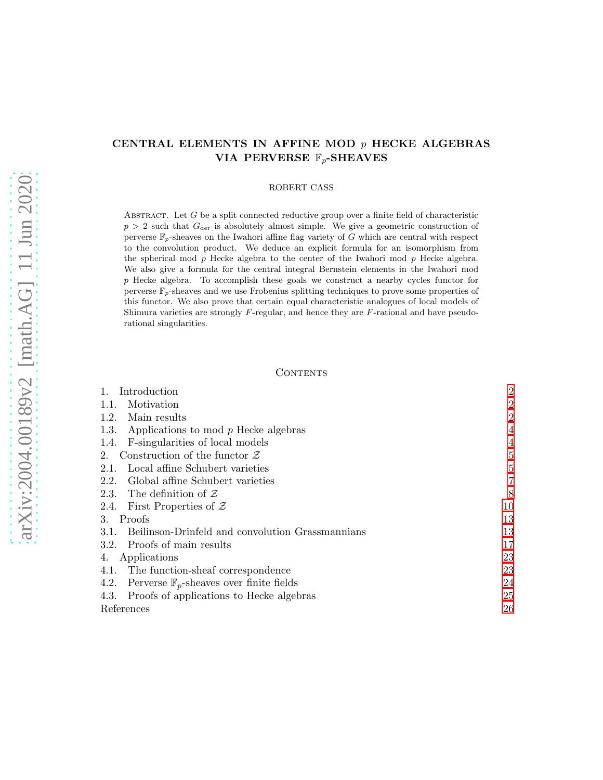# CENTRAL ELEMENTS IN AFFINE MOD  $p$  HECKE ALGEBRAS VIA PERVERSE  $\mathbb{F}_p$ -SHEAVES

### ROBERT CASS

ABSTRACT. Let  $G$  be a split connected reductive group over a finite field of characteristic  $p > 2$  such that  $G_{\text{der}}$  is absolutely almost simple. We give a geometric construction of perverse  $\mathbb{F}_p$ -sheaves on the Iwahori affine flag variety of G which are central with respect to the convolution product. We deduce an explicit formula for an isomorphism from the spherical mod p Hecke algebra to the center of the Iwahori mod p Hecke algebra. We also give a formula for the central integral Bernstein elements in the Iwahori mod p Hecke algebra. To accomplish these goals we construct a nearby cycles functor for perverse  $\mathbb{F}_p$ -sheaves and we use Frobenius splitting techniques to prove some properties of this functor. We also prove that certain equal characteristic analogues of local models of Shimura varieties are strongly F-regular, and hence they are F-rational and have pseudorational singularities.

## CONTENTS

| Introduction                                                | $\overline{2}$ |
|-------------------------------------------------------------|----------------|
| Motivation<br>1.1.                                          | $\overline{2}$ |
| Main results<br>1.2.                                        | $\overline{2}$ |
| Applications to mod $p$ Hecke algebras<br>1.3.              | 4              |
| F-singularities of local models<br>1.4.                     | 4              |
| Construction of the functor $\mathcal Z$<br>2.              | $\overline{5}$ |
| Local affine Schubert varieties<br>2.1.                     | 5              |
| Global affine Schubert varieties<br>2.2.                    | $\overline{7}$ |
| 2.3. The definition of $Z$                                  | 8              |
| First Properties of $\mathcal Z$<br>2.4.                    | 10             |
| Proofs<br>3.                                                | 13             |
| 3.1. Beilinson-Drinfeld and convolution Grassmannians       | 13             |
| 3.2. Proofs of main results                                 | 17             |
| Applications<br>4.                                          | 23             |
| 4.1. The function-sheaf correspondence                      | 23             |
| Perverse $\mathbb{F}_p$ -sheaves over finite fields<br>4.2. | 24             |
| Proofs of applications to Hecke algebras<br>4.3.            | 25             |
| References                                                  | 26             |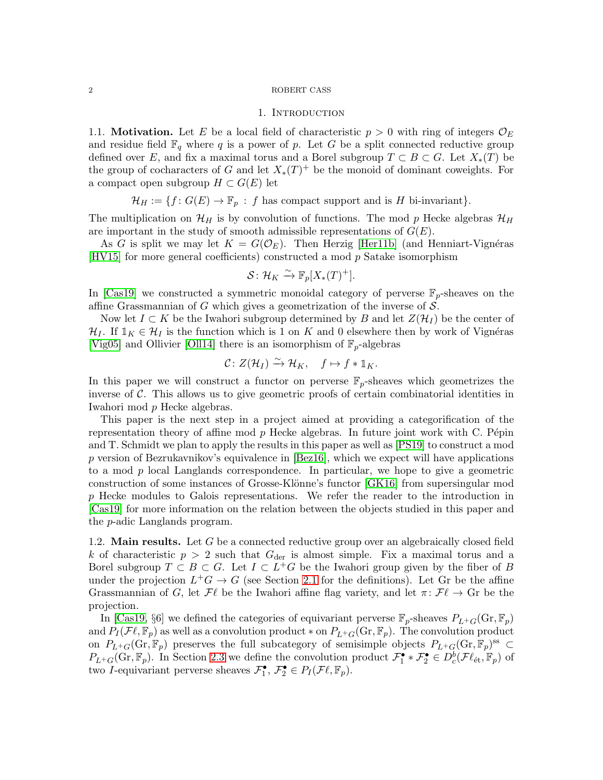## 1. INTRODUCTION

<span id="page-1-1"></span><span id="page-1-0"></span>1.1. **Motivation.** Let E be a local field of characteristic  $p > 0$  with ring of integers  $\mathcal{O}_E$ and residue field  $\mathbb{F}_q$  where q is a power of p. Let G be a split connected reductive group defined over E, and fix a maximal torus and a Borel subgroup  $T \subset B \subset G$ . Let  $X_*(T)$  be the group of cocharacters of G and let  $X_*(T)^+$  be the monoid of dominant coweights. For a compact open subgroup  $H \subset G(E)$  let

$$
\mathcal{H}_H := \{ f \colon G(E) \to \mathbb{F}_p : f \text{ has compact support and is } H \text{ bi-invariant} \}.
$$

The multiplication on  $\mathcal{H}_H$  is by convolution of functions. The mod p Hecke algebras  $\mathcal{H}_H$ are important in the study of smooth admissible representations of  $G(E)$ .

As G is split we may let  $K = G(\mathcal{O}_E)$ . Then Herzig [\[Her11b\]](#page-26-0) (and Henniart-Vignéras  $|HV15|$  for more general coefficients) constructed a mod p Satake isomorphism

$$
\mathcal{S} \colon \mathcal{H}_K \xrightarrow{\sim} \mathbb{F}_p[X_*(T)^+].
$$

In [\[Cas19\]](#page-26-2) we constructed a symmetric monoidal category of perverse  $\mathbb{F}_p$ -sheaves on the affine Grassmannian of G which gives a geometrization of the inverse of  $\mathcal{S}$ .

Now let  $I \subset K$  be the Iwahori subgroup determined by B and let  $Z(\mathcal{H}_I)$  be the center of  $\mathcal{H}_I$ . If  $\mathbb{1}_K \in \mathcal{H}_I$  is the function which is 1 on K and 0 elsewhere then by work of Vignéras [\[Vig05\]](#page-27-0) and Ollivier [\[Oll14\]](#page-26-3) there is an isomorphism of  $\mathbb{F}_p$ -algebras

$$
\mathcal{C} \colon Z(\mathcal{H}_I) \xrightarrow{\sim} \mathcal{H}_K, \quad f \mapsto f * \mathbb{1}_K.
$$

In this paper we will construct a functor on perverse  $\mathbb{F}_p$ -sheaves which geometrizes the inverse of  $\mathcal C$ . This allows us to give geometric proofs of certain combinatorial identities in Iwahori mod p Hecke algebras.

This paper is the next step in a project aimed at providing a categorification of the representation theory of affine mod  $p$  Hecke algebras. In future joint work with C. Pépin and T. Schmidt we plan to apply the results in this paper as well as [\[PS19\]](#page-27-1) to construct a mod p version of Bezrukavnikov's equivalence in  $\vert$ Bez16, which we expect will have applications to a mod p local Langlands correspondence. In particular, we hope to give a geometric construction of some instances of Grosse-Klönne's functor [\[GK16\]](#page-26-4) from supersingular mod p Hecke modules to Galois representations. We refer the reader to the introduction in [\[Cas19\]](#page-26-2) for more information on the relation between the objects studied in this paper and the p-adic Langlands program.

<span id="page-1-2"></span>1.2. **Main results.** Let  $G$  be a connected reductive group over an algebraically closed field k of characteristic  $p > 2$  such that  $G_{\text{der}}$  is almost simple. Fix a maximal torus and a Borel subgroup  $T \subset B \subset G$ . Let  $I \subset L^+G$  be the Iwahori group given by the fiber of B under the projection  $L^+G \to G$  (see Section [2.1](#page-4-1) for the definitions). Let Gr be the affine Grassmannian of G, let  $\mathcal{F}\ell$  be the Iwahori affine flag variety, and let  $\pi\colon\mathcal{F}\ell\to\mathbb{G}$ r be the projection.

In [\[Cas19,](#page-26-2) §6] we defined the categories of equivariant perverse  $\mathbb{F}_p$ -sheaves  $P_{L+G}(\text{Gr}, \mathbb{F}_p)$ and  $P_I(\mathcal{F}\ell,\mathbb{F}_p)$  as well as a convolution product  $*$  on  $P_{L+G}(\mathrm{Gr},\mathbb{F}_p)$ . The convolution product on  $P_{L^+G}(\text{Gr}, \mathbb{F}_p)$  preserves the full subcategory of semisimple objects  $P_{L^+G}(\text{Gr}, \mathbb{F}_p)$ <sup>ss</sup> ⊂  $P_{L^+G}(\text{Gr}, \mathbb{F}_p)$ . In Section [2.3](#page-7-0) we define the convolution product  $\mathcal{F}_1^{\bullet} * \mathcal{F}_2^{\bullet} \in D_c^b(\mathcal{F}\ell_{\text{\'et}}, \mathbb{F}_p)$  of two *I*-equivariant perverse sheaves  $\mathcal{F}_1^{\bullet}, \mathcal{F}_2^{\bullet} \in P_I(\mathcal{F}\ell, \mathbb{F}_p)$ .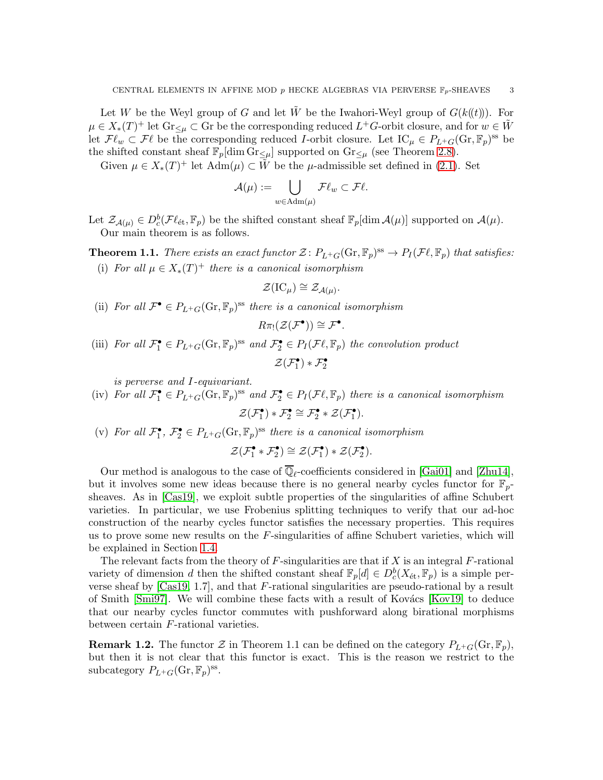Let W be the Weyl group of G and let  $\tilde{W}$  be the Iwahori-Weyl group of  $G(k(\ell))$ . For  $\mu \in X_*(T)^+$  let  $\text{Gr}_{\leq \mu} \subset \text{Gr}$  be the corresponding reduced  $L^+G$ -orbit closure, and for  $w \in \tilde{W}$ let  $\mathcal{F}\ell_w \subset \mathcal{F}\ell$  be the corresponding reduced *I*-orbit closure. Let  $\mathrm{IC}_{\mu} \in P_{L^+G}(\mathrm{Gr}, \mathbb{F}_p)$ <sup>ss</sup> be the shifted constant sheaf  $\mathbb{F}_p[\dim \mathrm{Gr}_{\leq \mu}]$  supported on  $\mathrm{Gr}_{\leq \mu}$  (see Theorem [2.8\)](#page-8-0).

Given  $\mu \in X_*(T)^+$  let  $\text{Adm}(\mu) \subset \tilde{W}$  be the  $\mu$ -admissible set defined in [\(2.1\)](#page-5-0). Set

$$
\mathcal{A}(\mu):=\bigcup_{w\in \mathrm{Adm}(\mu)}\mathcal{F}\ell_w\subset \mathcal{F}\ell.
$$

Let  $\mathcal{Z}_{\mathcal{A}(\mu)} \in D_c^b(\mathcal{F}\ell_{\text{\'et}}, \mathbb{F}_p)$  be the shifted constant sheaf  $\mathbb{F}_p[\dim \mathcal{A}(\mu)]$  supported on  $\mathcal{A}(\mu)$ . Our main theorem is as follows.

<span id="page-2-0"></span>**Theorem 1.1.** There exists an exact functor  $\mathcal{Z} \colon P_{L^+G}(\text{Gr}, \mathbb{F}_p)^{\text{ss}} \to P_I(\mathcal{F}\ell, \mathbb{F}_p)$  that satisfies: (i) For all  $\mu \in X_*(T)^+$  there is a canonical isomorphism

$$
\mathcal{Z}(\mathrm{IC}_{\mu}) \cong \mathcal{Z}_{\mathcal{A}(\mu)}
$$

.

(ii) For all  $\mathcal{F}^{\bullet} \in P_{L^+G}(\text{Gr}, \mathbb{F}_p)^{\text{ss}}$  there is a canonical isomorphism

$$
R\pi_!({\mathcal Z}({\mathcal F}^{\bullet}))\cong{\mathcal F}^{\bullet}.
$$

(iii) For all  $\mathcal{F}_1^{\bullet} \in P_{L^+G}(\mathbb{G}_T, \mathbb{F}_p)^{ss}$  and  $\mathcal{F}_2^{\bullet} \in P_I(\mathcal{F}\ell, \mathbb{F}_p)$  the convolution product  $\mathcal{Z}(\mathcal{F}_1^{\bullet}) * \mathcal{F}_2^{\bullet}$ 

is perverse and I-equivariant.

- (iv) For all  $\mathcal{F}_1^{\bullet} \in P_{L^+G}(\mathbb{G}_T, \mathbb{F}_p)^{ss}$  and  $\mathcal{F}_2^{\bullet} \in P_I(\mathcal{F}\ell, \mathbb{F}_p)$  there is a canonical isomorphism  $\mathcal{Z}(\mathcal{F}_1^{\bullet}) * \mathcal{F}_2^{\bullet} \cong \mathcal{F}_2^{\bullet} * \mathcal{Z}(\mathcal{F}_1^{\bullet}).$
- (v) For all  $\mathcal{F}_1^{\bullet}, \mathcal{F}_2^{\bullet} \in P_{L^+G}(\text{Gr}, \mathbb{F}_p)^{\text{ss}}$  there is a canonical isomorphism

$$
\mathcal{Z}(\mathcal{F}_1^{\bullet} * \mathcal{F}_2^{\bullet}) \cong \mathcal{Z}(\mathcal{F}_1^{\bullet}) * \mathcal{Z}(\mathcal{F}_2^{\bullet}).
$$

Our method is analogous to the case of  $\mathbb{Q}_\ell$ -coefficients considered in [\[Gai01\]](#page-26-5) and [\[Zhu14\]](#page-27-2), but it involves some new ideas because there is no general nearby cycles functor for  $\mathbb{F}_{p-}$ sheaves. As in [\[Cas19\]](#page-26-2), we exploit subtle properties of the singularities of affine Schubert varieties. In particular, we use Frobenius splitting techniques to verify that our ad-hoc construction of the nearby cycles functor satisfies the necessary properties. This requires us to prove some new results on the  $F$ -singularities of affine Schubert varieties, which will be explained in Section [1.4.](#page-3-1)

The relevant facts from the theory of  $F$ -singularities are that if X is an integral  $F$ -rational variety of dimension d then the shifted constant sheaf  $\mathbb{F}_p[d] \in D_c^b(X_{\text{\'et}}, \mathbb{F}_p)$  is a simple perverse sheaf by [\[Cas19,](#page-26-2) 1.7], and that F-rational singularities are pseudo-rational by a result of Smith  $[\text{Smi97}]$ . We will combine these facts with a result of Kovács  $[\text{Kov19}]$  to deduce that our nearby cycles functor commutes with pushforward along birational morphisms between certain F-rational varieties.

**Remark 1.2.** The functor  $\mathcal{Z}$  in Theorem 1.1 can be defined on the category  $P_{L^+G}(\text{Gr}, \mathbb{F}_p)$ , but then it is not clear that this functor is exact. This is the reason we restrict to the subcategory  $P_{L^+G}(\text{Gr}, \mathbb{F}_p)^{\text{ss}}$ .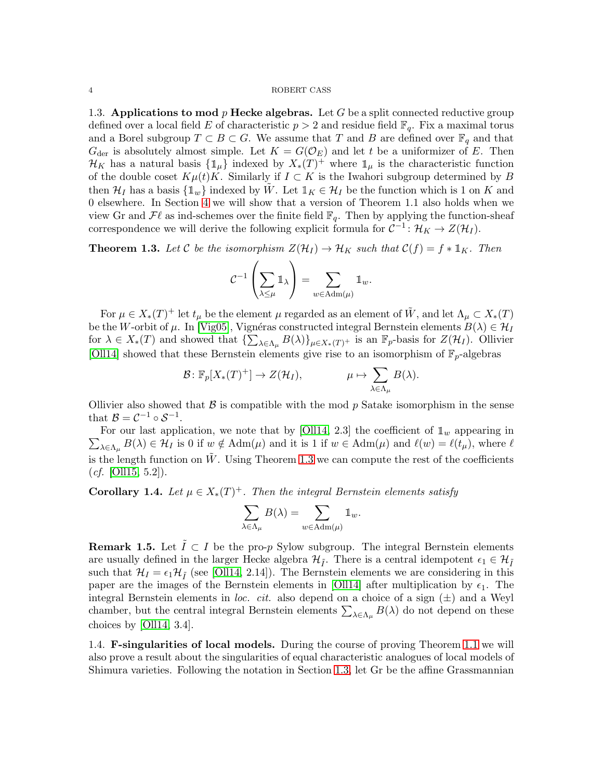<span id="page-3-0"></span>1.3. Applications to mod  $p$  Hecke algebras. Let G be a split connected reductive group defined over a local field E of characteristic  $p > 2$  and residue field  $\mathbb{F}_q$ . Fix a maximal torus and a Borel subgroup  $T \subset B \subset G$ . We assume that T and B are defined over  $\mathbb{F}_q$  and that  $G_{\text{der}}$  is absolutely almost simple. Let  $K = G(\mathcal{O}_E)$  and let t be a uniformizer of E. Then  $\mathcal{H}_K$  has a natural basis  $\{\mathbb{1}_{\mu}\}\$ indexed by  $X_*(T)^+$  where  $\mathbb{1}_{\mu}$  is the characteristic function of the double coset  $K\mu(t)K$ . Similarly if  $I \subset K$  is the Iwahori subgroup determined by B then  $\mathcal{H}_I$  has a basis  $\{\mathbb{1}_w\}$  indexed by W. Let  $\mathbb{1}_K \in \mathcal{H}_I$  be the function which is 1 on K and 0 elsewhere. In Section [4](#page-22-0) we will show that a version of Theorem 1.1 also holds when we view Gr and  $\mathcal{F}\ell$  as ind-schemes over the finite field  $\mathbb{F}_q$ . Then by applying the function-sheaf correspondence we will derive the following explicit formula for  $C^{-1}$ :  $\mathcal{H}_K \to Z(\mathcal{H}_I)$ .

<span id="page-3-2"></span>**Theorem 1.3.** Let C be the isomorphism  $Z(\mathcal{H}_I) \to \mathcal{H}_K$  such that  $C(f) = f * \mathbb{1}_K$ . Then

$$
\mathcal{C}^{-1}\left(\sum_{\lambda\leq\mu}\mathbb{1}_{\lambda}\right)=\sum_{w\in\mathrm{Adm}(\mu)}\mathbb{1}_{w}.
$$

For  $\mu \in X_*(T)^+$  let  $t_\mu$  be the element  $\mu$  regarded as an element of  $\tilde{W}$ , and let  $\Lambda_\mu \subset X_*(T)$ be the W-orbit of  $\mu$ . In [\[Vig05\]](#page-27-0), Vignéras constructed integral Bernstein elements  $B(\lambda) \in \mathcal{H}_I$ for  $\lambda \in X_*(T)$  and showed that  $\{\sum_{\lambda \in \Lambda_\mu} B(\lambda)\}_{\mu \in X_*(T)^+}$  is an  $\mathbb{F}_p$ -basis for  $Z(\mathcal{H}_I)$ . Ollivier [\[Oll14\]](#page-26-3) showed that these Bernstein elements give rise to an isomorphism of  $\mathbb{F}_p$ -algebras

$$
\mathcal{B} \colon \mathbb{F}_p[X_*(T)^+] \to Z(\mathcal{H}_I), \qquad \mu \mapsto \sum_{\lambda \in \Lambda_\mu} B(\lambda).
$$

Ollivier also showed that  $\beta$  is compatible with the mod p Satake isomorphism in the sense that  $\mathcal{B} = \mathcal{C}^{-1} \circ \mathcal{S}^{-1}$ .

 $\sum_{\lambda \in \Lambda_{\mu}} B(\lambda) \in \mathcal{H}_{I}$  is 0 if  $w \notin \text{Adm}(\mu)$  and it is 1 if  $w \in \text{Adm}(\mu)$  and  $\ell(w) = \ell(t_{\mu})$ , where  $\ell$ For our last application, we note that by [\[Oll14,](#page-26-3) 2.3] the coefficient of  $\mathbb{1}_w$  appearing in is the length function on  $\tilde{W}$ . Using Theorem [1.3](#page-3-2) we can compute the rest of the coefficients  $(cf. [OIII5, 5.2]).$ 

<span id="page-3-3"></span>**Corollary 1.4.** Let  $\mu \in X_*(T)^+$ . Then the integral Bernstein elements satisfy

$$
\sum_{\lambda \in \Lambda_{\mu}} B(\lambda) = \sum_{w \in \text{Adm}(\mu)} \mathbb{1}_w.
$$

**Remark 1.5.** Let  $\tilde{I} \subset I$  be the pro-p Sylow subgroup. The integral Bernstein elements are usually defined in the larger Hecke algebra  $\mathcal{H}_{\tilde{I}}$ . There is a central idempotent  $\epsilon_1 \in \mathcal{H}_{\tilde{I}}$ such that  $\mathcal{H}_I = \epsilon_1 \mathcal{H}_{\tilde{I}}$  (see [\[Oll14,](#page-26-3) 2.14]). The Bernstein elements we are considering in this paper are the images of the Bernstein elements in [\[Oll14\]](#page-26-3) after multiplication by  $\epsilon_1$ . The integral Bernstein elements in loc. cit. also depend on a choice of a sign  $(\pm)$  and a Weyl chamber, but the central integral Bernstein elements  $\sum_{\lambda \in \Lambda_{\mu}} B(\lambda)$  do not depend on these choices by [\[Oll14,](#page-26-3) 3.4].

<span id="page-3-1"></span>1.4. F-singularities of local models. During the course of proving Theorem [1.1](#page-2-0) we will also prove a result about the singularities of equal characteristic analogues of local models of Shimura varieties. Following the notation in Section [1.3,](#page-3-0) let Gr be the affine Grassmannian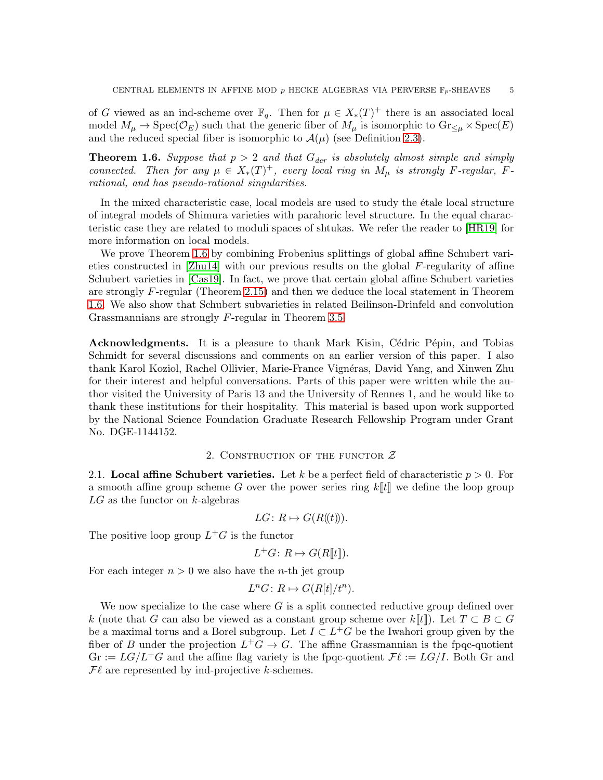of G viewed as an ind-scheme over  $\mathbb{F}_q$ . Then for  $\mu \in X_*(T)^+$  there is an associated local model  $M_\mu \to \text{Spec}(\mathcal{O}_E)$  such that the generic fiber of  $M_\mu$  is isomorphic to  $\text{Gr}_{\leq \mu} \times \text{Spec}(E)$ and the reduced special fiber is isomorphic to  $\mathcal{A}(\mu)$  (see Definition [2.3\)](#page-6-1).

<span id="page-4-2"></span>**Theorem 1.6.** Suppose that  $p > 2$  and that  $G_{der}$  is absolutely almost simple and simply connected. Then for any  $\mu \in X_*(T)^+$ , every local ring in  $M_\mu$  is strongly F-regular, Frational, and has pseudo-rational singularities.

In the mixed characteristic case, local models are used to study the etale local structure of integral models of Shimura varieties with parahoric level structure. In the equal characteristic case they are related to moduli spaces of shtukas. We refer the reader to [\[HR19\]](#page-26-8) for more information on local models.

We prove Theorem [1.6](#page-4-2) by combining Frobenius splittings of global affine Schubert vari-eties constructed in [\[Zhu14\]](#page-27-2) with our previous results on the global  $F$ -regularity of affine Schubert varieties in [\[Cas19\]](#page-26-2). In fact, we prove that certain global affine Schubert varieties are strongly F-regular (Theorem [2.15\)](#page-10-0) and then we deduce the local statement in Theorem [1.6.](#page-4-2) We also show that Schubert subvarieties in related Beilinson-Drinfeld and convolution Grassmannians are strongly F-regular in Theorem [3.5.](#page-16-1)

Acknowledgments. It is a pleasure to thank Mark Kisin, Cédric Pépin, and Tobias Schmidt for several discussions and comments on an earlier version of this paper. I also thank Karol Koziol, Rachel Ollivier, Marie-France Vignéras, David Yang, and Xinwen Zhu for their interest and helpful conversations. Parts of this paper were written while the author visited the University of Paris 13 and the University of Rennes 1, and he would like to thank these institutions for their hospitality. This material is based upon work supported by the National Science Foundation Graduate Research Fellowship Program under Grant No. DGE-1144152.

## 2. CONSTRUCTION OF THE FUNCTOR  $Z$

<span id="page-4-1"></span><span id="page-4-0"></span>2.1. Local affine Schubert varieties. Let k be a perfect field of characteristic  $p > 0$ . For a smooth affine group scheme G over the power series ring  $k[[t]]$  we define the loop group  $LG$  as the functor on  $k$ -algebras

$$
LG\colon R \mapsto G(R(\!(t)\!)).
$$

The positive loop group  $L^+G$  is the functor

$$
L^+G\colon R\mapsto G(R[\![t]\!]).
$$

For each integer  $n > 0$  we also have the *n*-th jet group

$$
L^n G \colon R \mapsto G(R[t]/t^n).
$$

We now specialize to the case where  $G$  is a split connected reductive group defined over k (note that G can also be viewed as a constant group scheme over  $k[[t]]$ ). Let  $T \subset B \subset G$ be a maximal torus and a Borel subgroup. Let  $I \subset L^+G$  be the Iwahori group given by the fiber of B under the projection  $L^+G \to G$ . The affine Grassmannian is the fpqc-quotient  $\mathrm{Gr} := LG/L^+G$  and the affine flag variety is the fpqc-quotient  $\mathcal{F}\ell := LG/I$ . Both Gr and  $\mathcal{F}\ell$  are represented by ind-projective k-schemes.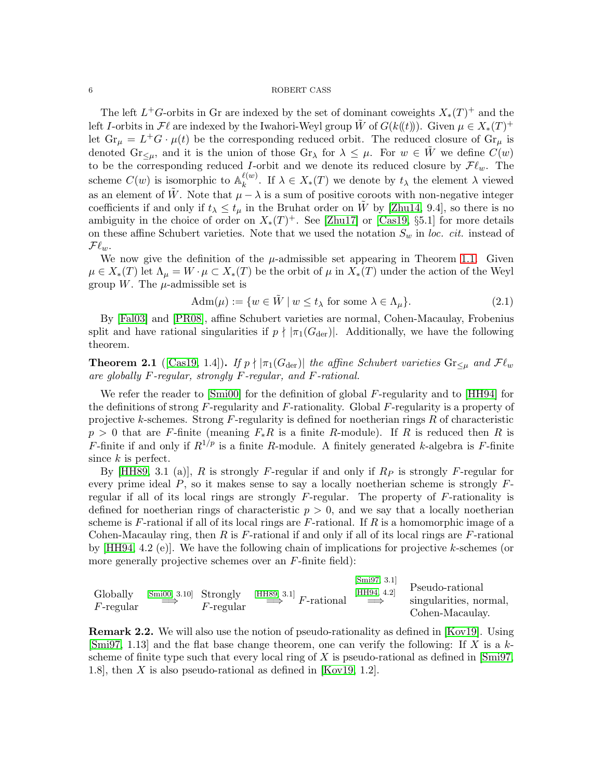The left  $L^+G$ -orbits in Gr are indexed by the set of dominant coweights  $X_*(T)^+$  and the left I-orbits in  $\mathcal{F}\ell$  are indexed by the Iwahori-Weyl group  $\tilde{W}$  of  $G(k(\ell))$ ). Given  $\mu \in X_*(T)^+$ let  $\text{Gr}_{\mu} = L^+G \cdot \mu(t)$  be the corresponding reduced orbit. The reduced closure of  $\text{Gr}_{\mu}$  is denoted  $\text{Gr}_{\leq \mu}$ , and it is the union of those  $\text{Gr}_{\lambda}$  for  $\lambda \leq \mu$ . For  $w \in \tilde{W}$  we define  $C(w)$ to be the corresponding reduced I-orbit and we denote its reduced closure by  $\mathcal{F}\ell_w$ . The scheme  $C(w)$  is isomorphic to  $\mathbb{A}_k^{\ell(w)}$ <sup> $\kappa^{(w)}$ </sup>. If  $\lambda \in X_*(T)$  we denote by  $t_\lambda$  the element  $\lambda$  viewed as an element of  $\tilde{W}$ . Note that  $\mu - \lambda$  is a sum of positive coroots with non-negative integer coefficients if and only if  $t_{\lambda} \leq t_{\mu}$  in the Bruhat order on  $\tilde{W}$  by [\[Zhu14,](#page-27-2) 9.4], so there is no ambiguity in the choice of order on  $X_*(T)^+$ . See [\[Zhu17\]](#page-27-4) or [\[Cas19,](#page-26-2) §5.1] for more details on these affine Schubert varieties. Note that we used the notation  $S_w$  in loc. cit. instead of  $\mathcal{F}\ell_{w}$ .

We now give the definition of the  $\mu$ -admissible set appearing in Theorem [1.1.](#page-2-0) Given  $\mu \in X_*(T)$  let  $\Lambda_{\mu} = W \cdot \mu \subset X_*(T)$  be the orbit of  $\mu$  in  $X_*(T)$  under the action of the Weyl group W. The  $\mu$ -admissible set is

<span id="page-5-0"></span>
$$
Adm(\mu) := \{ w \in \tilde{W} \mid w \le t_{\lambda} \text{ for some } \lambda \in \Lambda_{\mu} \}. \tag{2.1}
$$

By [\[Fal03\]](#page-26-9) and [\[PR08\]](#page-26-10), affine Schubert varieties are normal, Cohen-Macaulay, Frobenius split and have rational singularities if  $p \nmid |\pi_1(G_{\text{der}})|$ . Additionally, we have the following theorem.

<span id="page-5-1"></span>**Theorem 2.1** ([\[Cas19,](#page-26-2) 1.4]). If  $p \nmid |\pi_1(G_{\text{der}})|$  the affine Schubert varieties  $\text{Gr}_{\leq \mu}$  and  $\mathcal{F}\ell_w$ are globally F-regular, strongly F-regular, and F-rational.

We refer the reader to  $[\text{Sm}i00]$  for the definition of global F-regularity and to  $[\text{HH}94]$  for the definitions of strong  $F$ -regularity and  $F$ -rationality. Global  $F$ -regularity is a property of projective k-schemes. Strong F-regularity is defined for noetherian rings R of characteristic  $p > 0$  that are F-finite (meaning  $F_*R$  is a finite R-module). If R is reduced then R is F-finite if and only if  $R^{1/p}$  is a finite R-module. A finitely generated k-algebra is F-finite since k is perfect.

By [\[HH89,](#page-26-12) 3.1 (a)], R is strongly F-regular if and only if  $R_P$  is strongly F-regular for every prime ideal  $P$ , so it makes sense to say a locally noetherian scheme is strongly  $F$ regular if all of its local rings are strongly  $F$ -regular. The property of  $F$ -rationality is defined for noetherian rings of characteristic  $p > 0$ , and we say that a locally noetherian scheme is  $F$ -rational if all of its local rings are  $F$ -rational. If  $R$  is a homomorphic image of a Cohen-Macaulay ring, then R is  $F$ -rational if and only if all of its local rings are  $F$ -rational by [\[HH94,](#page-26-11) 4.2 (e)]. We have the following chain of implications for projective k-schemes (or more generally projective schemes over an  $F$ -finite field):

| Globally<br>$F$ -regular | $[Smi00, 3.10]$ Strongly | $F$ -regular | $\stackrel{\text{[HH89, 3.1]}}{\Longrightarrow} F\text{-rational}$ | [Smi97, 3.1]<br>[HH94, 4.2]<br>$\implies$ | Pseudo-rational<br>singularities, normal,<br>Cohen-Macaulay. |
|--------------------------|--------------------------|--------------|--------------------------------------------------------------------|-------------------------------------------|--------------------------------------------------------------|
|--------------------------|--------------------------|--------------|--------------------------------------------------------------------|-------------------------------------------|--------------------------------------------------------------|

Remark 2.2. We will also use the notion of pseudo-rationality as defined in [\[Kov19\]](#page-26-6). Using [\[Smi97,](#page-27-3) 1.13] and the flat base change theorem, one can verify the following: If X is a  $k$ scheme of finite type such that every local ring of X is pseudo-rational as defined in  $\text{Smi97}$ , 1.8], then X is also pseudo-rational as defined in [\[Kov19,](#page-26-6) 1.2].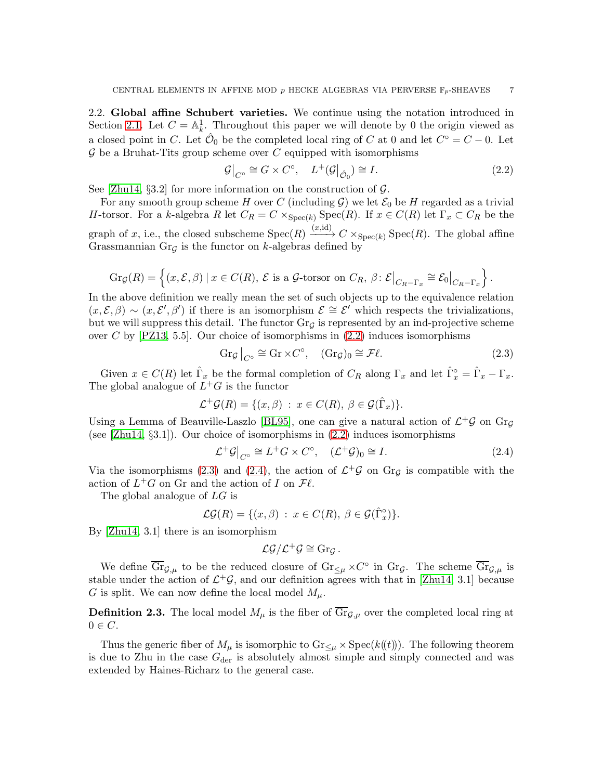<span id="page-6-0"></span>2.2. Global affine Schubert varieties. We continue using the notation introduced in Section [2.1.](#page-4-1) Let  $C = \mathbb{A}^1_k$ . Throughout this paper we will denote by 0 the origin viewed as a closed point in C. Let  $\hat{\mathcal{O}}_0$  be the completed local ring of C at 0 and let  $C^{\circ} = C - 0$ . Let  $\mathcal G$  be a Bruhat-Tits group scheme over C equipped with isomorphisms

<span id="page-6-2"></span>
$$
\mathcal{G}\big|_{C^\circ} \cong G \times C^\circ, \quad L^+(\mathcal{G}\big|_{\hat{\mathcal{O}}_0}) \cong I. \tag{2.2}
$$

See [\[Zhu14,](#page-27-2)  $\S 3.2$ ] for more information on the construction of  $\mathcal{G}$ .

For any smooth group scheme H over C (including G) we let  $\mathcal{E}_0$  be H regarded as a trivial H-torsor. For a k-algebra R let  $C_R = C \times_{Spec(k)} Spec(R)$ . If  $x \in C(R)$  let  $\Gamma_x \subset C_R$  be the graph of x, i.e., the closed subscheme  $Spec(R) \xrightarrow{(x,id)} C \times_{Spec(k)} Spec(R)$ . The global affine Grassmannian Gr<sub>G</sub> is the functor on k-algebras defined by

$$
\operatorname{Gr}_{\mathcal{G}}(R) = \left\{ (x, \mathcal{E}, \beta) \mid x \in C(R), \ \mathcal{E} \text{ is a } \mathcal{G}\text{-torsor on } C_R, \ \beta \colon \mathcal{E}\big|_{C_R - \Gamma_x} \cong \mathcal{E}_0\big|_{C_R - \Gamma_x} \right\}.
$$

In the above definition we really mean the set of such objects up to the equivalence relation  $(x,\mathcal{E},\beta) \sim (x,\mathcal{E}',\beta')$  if there is an isomorphism  $\mathcal{E} \cong \mathcal{E}'$  which respects the trivializations, but we will suppress this detail. The functor  $Gr_G$  is represented by an ind-projective scheme over C by  $[PZ13, 5.5]$ . Our choice of isomorphisms in  $(2.2)$  induces isomorphisms

<span id="page-6-3"></span>
$$
\operatorname{Gr}_{\mathcal{G}}|_{C^{\circ}} \cong \operatorname{Gr} \times C^{\circ}, \quad (\operatorname{Gr}_{\mathcal{G}})_0 \cong \mathcal{F}\ell. \tag{2.3}
$$

Given  $x \in C(R)$  let  $\hat{\Gamma}_x$  be the formal completion of  $C_R$  along  $\Gamma_x$  and let  $\hat{\Gamma}_x^{\circ} = \hat{\Gamma}_x - \Gamma_x$ . The global analogue of  $L^+G$  is the functor

$$
\mathcal{L}^+\mathcal{G}(R) = \{(x,\beta) : x \in C(R), \ \beta \in \mathcal{G}(\hat{\Gamma}_x)\}.
$$

Using a Lemma of Beauville-Laszlo [\[BL95\]](#page-26-13), one can give a natural action of  $\mathcal{L}^+\mathcal{G}$  on  $\text{Gr}_{\mathcal{G}}$ (see  $[Zhu14, \S3.1]$ ). Our choice of isomorphisms in  $(2.2)$  induces isomorphisms

<span id="page-6-4"></span>
$$
\mathcal{L}^+ \mathcal{G} \big|_{C^\circ} \cong L^+ G \times C^\circ, \quad (\mathcal{L}^+ \mathcal{G})_0 \cong I. \tag{2.4}
$$

Via the isomorphisms [\(2.3\)](#page-6-3) and [\(2.4\)](#page-6-4), the action of  $\mathcal{L}^+\mathcal{G}$  on Gr<sub> $\mathcal{G}$ </sub> is compatible with the action of  $L^+G$  on Gr and the action of I on  $\mathcal{F}\ell$ .

The global analogue of LG is

$$
\mathcal{LG}(R) = \{ (x, \beta) : x \in C(R), \ \beta \in \mathcal{G}(\hat{\Gamma}_x^{\circ}) \}.
$$

By [\[Zhu14,](#page-27-2) 3.1] there is an isomorphism

$$
\mathcal{LG}/\mathcal{L}^+\mathcal{G}\cong\mathrm{Gr}_\mathcal{G}\,.
$$

We define  $\overline{\text{Gr}}_{\mathcal{G},\mu}$  to be the reduced closure of  $\text{Gr}_{\leq \mu} \times C^{\circ}$  in  $\text{Gr}_{\mathcal{G}}$ . The scheme  $\overline{\text{Gr}}_{\mathcal{G},\mu}$  is stable under the action of  $\mathcal{L}^+\mathcal{G}$ , and our definition agrees with that in [\[Zhu14,](#page-27-2) 3.1] because G is split. We can now define the local model  $M_{\mu}$ .

<span id="page-6-1"></span>**Definition 2.3.** The local model  $M_{\mu}$  is the fiber of  $\overline{\text{Gr}}_{\mathcal{G},\mu}$  over the completed local ring at  $0 \in C$ .

Thus the generic fiber of  $M_{\mu}$  is isomorphic to  $Gr_{\leq \mu} \times \operatorname{Spec}(k(\ell))$ . The following theorem is due to Zhu in the case  $G_{\text{der}}$  is absolutely almost simple and simply connected and was extended by Haines-Richarz to the general case.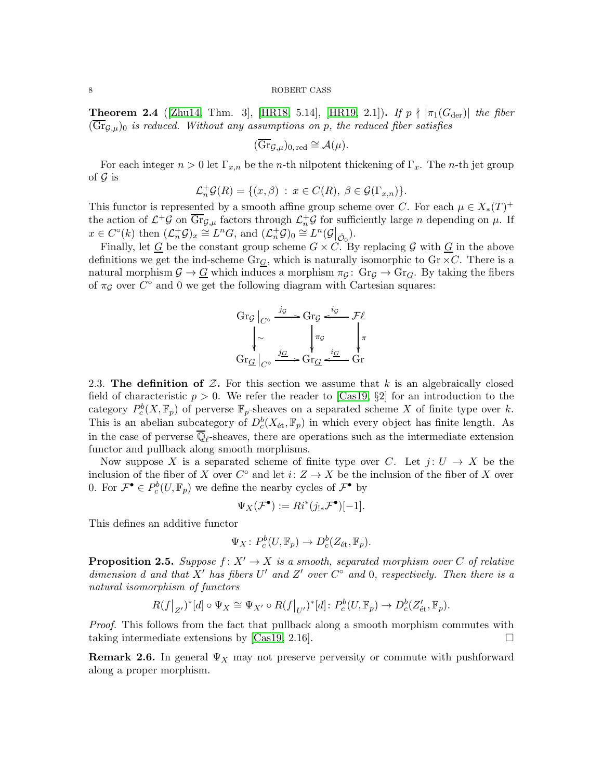<span id="page-7-1"></span>**Theorem 2.4** ([\[Zhu14,](#page-27-2) Thm. 3], [\[HR18,](#page-26-14) 5.14], [\[HR19,](#page-26-8) 2.1]). If  $p \nmid |\pi_1(G_{der})|$  the fiber  $(\overline{\text{Gr}}_{G,\mu})_0$  is reduced. Without any assumptions on p, the reduced fiber satisfies

$$
(\overline{\mathrm{Gr}}_{\mathcal{G},\mu})_{0,\,\mathrm{red}} \cong \mathcal{A}(\mu).
$$

For each integer  $n > 0$  let  $\Gamma_{x,n}$  be the *n*-th nilpotent thickening of  $\Gamma_x$ . The *n*-th jet group of  $\mathcal G$  is

$$
\mathcal{L}_n^+\mathcal{G}(R) = \{(x,\beta) : x \in C(R), \ \beta \in \mathcal{G}(\Gamma_{x,n})\}.
$$

This functor is represented by a smooth affine group scheme over C. For each  $\mu \in X_*(T)^+$ the action of  $\mathcal{L}^+\mathcal{G}$  on  $\overline{\text{Gr}}_{\mathcal{G},\mu}$  factors through  $\mathcal{L}_n^+\mathcal{G}$  for sufficiently large n depending on  $\mu$ . If  $x \in C^{\circ}(k)$  then  $(\mathcal{L}_n^+\mathcal{G})_x \cong L^nG$ , and  $(\mathcal{L}_n^+\mathcal{G})_0 \cong L^n(\mathcal{G}|_{\hat{\mathcal{O}}_0}).$ 

Finally, let  $G$  be the constant group scheme  $G \times C$ . By replacing G with  $G$  in the above definitions we get the ind-scheme  $Gr_G$ , which is naturally isomorphic to  $Gr \times C$ . There is a natural morphism  $\mathcal{G} \to \underline{G}$  which induces a morphism  $\pi_{\mathcal{G}} \colon \text{Gr}_{\mathcal{G}} \to \text{Gr}_{G}$ . By taking the fibers of  $\pi_{\mathcal{G}}$  over  $C^{\circ}$  and 0 we get the following diagram with Cartesian squares:

$$
\begin{array}{c}\n\operatorname{Gr}_{\mathcal{G}}|_{C^{\circ}} \xrightarrow{j_{\mathcal{G}}} \operatorname{Gr}_{\mathcal{G}} \xleftarrow{i_{\mathcal{G}}} \mathcal{F}\ell \\
\downarrow{\sim} \qquad \qquad \qquad \downarrow{\pi_{\mathcal{G}}} \qquad \qquad \downarrow{\pi} \\
\operatorname{Gr}_{\underline{G}}|_{C^{\circ}} \xrightarrow{j_{\underline{G}}} \operatorname{Gr}_{\underline{G}} \xleftarrow{i_{\underline{G}}} \operatorname{Gr}\n\end{array}
$$

<span id="page-7-0"></span>2.3. The definition of  $Z$ . For this section we assume that k is an algebraically closed field of characteristic  $p > 0$ . We refer the reader to [\[Cas19,](#page-26-2) §2] for an introduction to the category  $P_c^b(X, \mathbb{F}_p)$  of perverse  $\mathbb{F}_p$ -sheaves on a separated scheme X of finite type over k. This is an abelian subcategory of  $D_c^b(X_{\text{\'et}}, \mathbb{F}_p)$  in which every object has finite length. As in the case of perverse  $\mathbb{Q}_{\ell}$ -sheaves, there are operations such as the intermediate extension functor and pullback along smooth morphisms.

Now suppose X is a separated scheme of finite type over C. Let  $j: U \to X$  be the inclusion of the fiber of X over  $C^{\circ}$  and let  $i: Z \to X$  be the inclusion of the fiber of X over 0. For  $\mathcal{F}^{\bullet} \in P_c^b(U,\mathbb{F}_p)$  we define the nearby cycles of  $\mathcal{F}^{\bullet}$  by

$$
\Psi_X(\mathcal{F}^{\bullet}) := Ri^*(j_{!*}\mathcal{F}^{\bullet})[-1].
$$

This defines an additive functor

$$
\Psi_X\colon P^b_c(U,\mathbb{F}_p)\to D^b_c(Z_{\text{\'et}},\mathbb{F}_p).
$$

**Proposition 2.5.** Suppose  $f: X' \to X$  is a smooth, separated morphism over C of relative dimension d and that X' has fibers U' and Z' over  $C^{\circ}$  and 0, respectively. Then there is a natural isomorphism of functors

$$
R(f|_{Z'})^*[d] \circ \Psi_X \cong \Psi_{X'} \circ R(f|_{U'})^*[d] \colon P_c^b(U,\mathbb{F}_p) \to D_c^b(Z'_{\text{\'et}},\mathbb{F}_p).
$$

Proof. This follows from the fact that pullback along a smooth morphism commutes with taking intermediate extensions by [\[Cas19,](#page-26-2) 2.16].  $\Box$ 

**Remark 2.6.** In general  $\Psi_X$  may not preserve perversity or commute with pushforward along a proper morphism.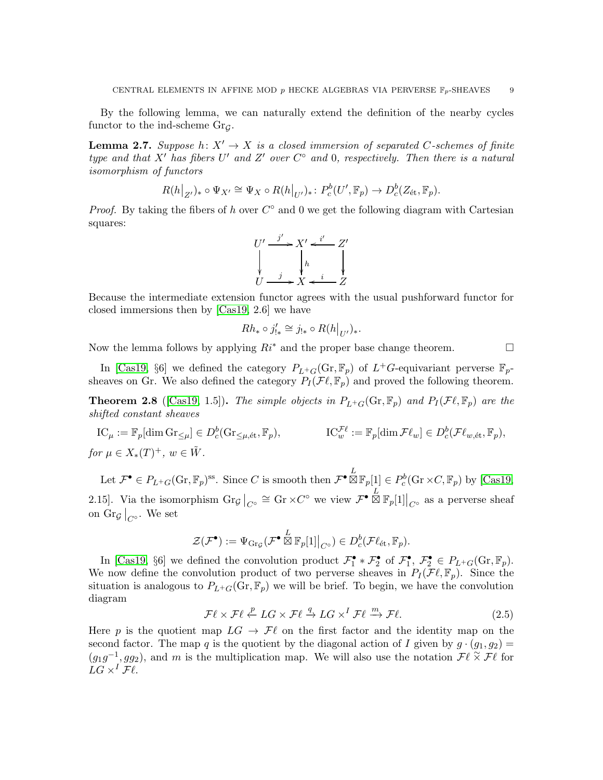By the following lemma, we can naturally extend the definition of the nearby cycles functor to the ind-scheme  $Gr_G$ .

**Lemma 2.7.** Suppose  $h: X' \to X$  is a closed immersion of separated C-schemes of finite type and that  $X'$  has fibers U' and Z' over  $C^{\circ}$  and 0, respectively. Then there is a natural isomorphism of functors

$$
R(h|_{Z'})_* \circ \Psi_{X'} \cong \Psi_X \circ R(h|_{U'})_* \colon P_c^b(U', \mathbb{F}_p) \to D_c^b(Z_{\text{\'et}}, \mathbb{F}_p).
$$

*Proof.* By taking the fibers of h over  $C^{\circ}$  and 0 we get the following diagram with Cartesian squares:



Because the intermediate extension functor agrees with the usual pushforward functor for closed immersions then by [\[Cas19,](#page-26-2) 2.6] we have

$$
Rh_* \circ j'_{!*} \cong j_{!*} \circ R(h|_{U'})_*.
$$

Now the lemma follows by applying  $R_i^*$  and the proper base change theorem.

In [\[Cas19,](#page-26-2) §6] we defined the category  $P_{L^+G}(\text{Gr}, \mathbb{F}_p)$  of  $L^+G$ -equivariant perverse  $\mathbb{F}_p$ sheaves on Gr. We also defined the category  $P_I(\mathcal{F}\ell, \mathbb{F}_p)$  and proved the following theorem.

<span id="page-8-0"></span>**Theorem 2.8** ([\[Cas19,](#page-26-2) 1.5]). The simple objects in  $P_{L+G}(\text{Gr}, \mathbb{F}_p)$  and  $P_I(\mathcal{F}\ell, \mathbb{F}_p)$  are the shifted constant sheaves

IC<sub>$$
\mu
$$</sub> :=  $\mathbb{F}_p[\dim \mathrm{Gr}_{\leq \mu}] \in D_c^b(\mathrm{Gr}_{\leq \mu, \text{\'et}}, \mathbb{F}_p),$   
IC <sub>$w$</sub>  <sup>$\mathcal{F}\ell$</sup>  :=  $\mathbb{F}_p[\dim \mathcal{F}\ell_w] \in D_c^b(\mathcal{F}\ell_{w, \text{\'et}}, \mathbb{F}_p),$   
for  $\mu \in X_*(T)^+$ ,  $w \in \tilde{W}$ .

Let  $\mathcal{F}^{\bullet} \in P_{L^+G}(\text{Gr}, \mathbb{F}_p)^{\text{ss}}$ . Since C is smooth then  $\mathcal{F}^{\bullet} \boxtimes \mathbb{F}_p[1] \in P_c^b(\text{Gr} \times C, \mathbb{F}_p)$  by [\[Cas19,](#page-26-2) 2.15]. Via the isomorphism  $\text{Gr}_{\mathcal{G}}|_{C^{\circ}} \cong \text{Gr} \times C^{\circ}$  we view  $\mathcal{F}^{\bullet} \boxtimes \mathbb{F}_p[1]|_{C^{\circ}}$  as a perverse sheaf on  $\text{Gr}_{\mathcal{G}}|_{C^\circ}$ . We set

$$
\mathcal{Z}(\mathcal{F}^{\bullet}) := \Psi_{\mathrm{Gr}_\mathcal{G}}(\mathcal{F}^{\bullet} \boxtimes \mathbb{F}_p[1]|_{C^{\circ}}) \in D^b_c(\mathcal{F}\ell_{\mathrm{\acute{e}t}}, \mathbb{F}_p).
$$

In [\[Cas19,](#page-26-2) §6] we defined the convolution product  $\mathcal{F}_1^{\bullet} * \mathcal{F}_2^{\bullet}$  of  $\mathcal{F}_1^{\bullet}, \mathcal{F}_2^{\bullet} \in P_{L^+G}(\text{Gr}, \mathbb{F}_p)$ . We now define the convolution product of two perverse sheaves in  $P_I(\mathcal{F}\ell,\mathbb{F}_p)$ . Since the situation is analogous to  $P_{L^+G}(\text{Gr}, \mathbb{F}_p)$  we will be brief. To begin, we have the convolution diagram

$$
\mathcal{F}\ell \times \mathcal{F}\ell \stackrel{p}{\leftarrow} LG \times \mathcal{F}\ell \stackrel{q}{\rightarrow} LG \times^I \mathcal{F}\ell \stackrel{m}{\rightarrow} \mathcal{F}\ell. \tag{2.5}
$$

Here p is the quotient map  $LG \rightarrow \mathcal{F}\ell$  on the first factor and the identity map on the second factor. The map q is the quotient by the diagonal action of I given by  $g \cdot (g_1, g_2) =$  $(g_1g^{-1}, gg_2)$ , and m is the multiplication map. We will also use the notation  $\mathcal{F}\ell \times \mathcal{F}\ell$  for  $LG \times^I \mathcal{F}\ell$ .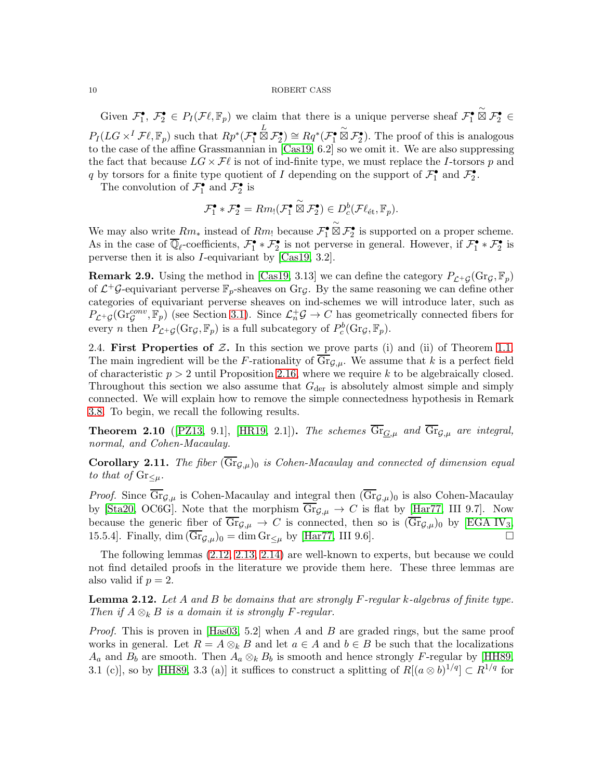Given  $\mathcal{F}_1^{\bullet}, \mathcal{F}_2^{\bullet} \in P_I(\mathcal{F}\ell, \mathbb{F}_p)$  we claim that there is a unique perverse sheaf  $\mathcal{F}_1^{\bullet}$  $\overset{\sim}{\boxtimes}$   $\mathcal{F}_2^{\bullet}$   $\in$  $P_I(LG \times^I \mathcal{F}\ell, \mathbb{F}_p)$  such that  $Rp^*(\mathcal{F}_1^{\bullet})$  $\stackrel{L}{\boxtimes}$   $\mathcal{F}_2^{\bullet}$   $)\cong$   $Rq^*(\mathcal{F}_1^{\bullet})$  $\stackrel{\sim}{\boxtimes} \mathcal{F}_2^{\bullet}$ ). The proof of this is analogous to the case of the affine Grassmannian in [\[Cas19,](#page-26-2) 6.2] so we omit it. We are also suppressing the fact that because  $LG \times \mathcal{F}\ell$  is not of ind-finite type, we must replace the I-torsors p and q by torsors for a finite type quotient of I depending on the support of  $\mathcal{F}_1^{\bullet}$  and  $\mathcal{F}_2^{\bullet}$ .

The convolution of  $\mathcal{F}_1^{\bullet}$  and  $\mathcal{F}_2^{\bullet}$  is

$$
\mathcal{F}_1^{\bullet} * \mathcal{F}_2^{\bullet} = Rm_! (\mathcal{F}_1^{\bullet} \overset{\sim}{\boxtimes} \mathcal{F}_2^{\bullet}) \in D_c^b(\mathcal{F}\ell_{\text{\'et}}, \mathbb{F}_p).
$$

We may also write  $Rm_*$  instead of  $Rm_!$  because  $\mathcal{F}_1^{\bullet}$  $\overset{\sim}{\boxtimes}$   $\mathcal{F}_2^{\bullet}$  is supported on a proper scheme. As in the case of  $\overline{\mathbb{Q}}_{\ell}$ -coefficients,  $\mathcal{F}_1^{\bullet} * \mathcal{F}_2^{\bullet}$  is not perverse in general. However, if  $\mathcal{F}_1^{\bullet} * \mathcal{F}_2^{\bullet}$  is perverse then it is also I-equivariant by [\[Cas19,](#page-26-2) 3.2].

**Remark 2.9.** Using the method in [\[Cas19,](#page-26-2) 3.13] we can define the category  $P_{\mathcal{L}^+G}(\text{Gr}_\mathcal{G}, \mathbb{F}_p)$ of  $\mathcal{L}^+\mathcal{G}$ -equivariant perverse  $\mathbb{F}_p$ -sheaves on Gr $\mathcal{G}$ . By the same reasoning we can define other categories of equivariant perverse sheaves on ind-schemes we will introduce later, such as  $P_{\mathcal{L}^+G}(\text{Gr}_\mathcal{G}^{conv}, \mathbb{F}_p)$  (see Section [3.1\)](#page-12-1). Since  $\mathcal{L}_n^+ \mathcal{G} \to C$  has geometrically connected fibers for every *n* then  $P_{\mathcal{L}^+ \mathcal{G}}(\text{Gr}_{\mathcal{G}}, \mathbb{F}_p)$  is a full subcategory of  $P_c^b(\text{Gr}_{\mathcal{G}}, \mathbb{F}_p)$ .

<span id="page-9-0"></span>2.4. First Properties of  $Z$ . In this section we prove parts (i) and (ii) of Theorem [1.1.](#page-2-0) The main ingredient will be the F-rationality of  $\text{Gr}_{\mathcal{G},\mu}$ . We assume that k is a perfect field of characteristic  $p > 2$  until Proposition [2.16,](#page-11-0) where we require k to be algebraically closed. Throughout this section we also assume that  $G_{\text{der}}$  is absolutely almost simple and simply connected. We will explain how to remove the simple connectedness hypothesis in Remark [3.8.](#page-21-0) To begin, we recall the following results.

<span id="page-9-2"></span>**Theorem 2.10** ([\[PZ13,](#page-27-6) 9.1], [\[HR19,](#page-26-8) 2.1]). The schemes  $\overline{\text{Gr}}_{G,\mu}$  and  $\overline{\text{Gr}}_{G,\mu}$  are integral, normal, and Cohen-Macaulay.

<span id="page-9-3"></span>**Corollary 2.11.** The fiber  $(\overline{\text{Gr}}_{\mathcal{G},\mu})_0$  is Cohen-Macaulay and connected of dimension equal to that of  $\text{Gr}_{\leq \mu}$ .

*Proof.* Since  $\overline{\text{Gr}}_{\mathcal{G},\mu}$  is Cohen-Macaulay and integral then  $(\overline{\text{Gr}}_{\mathcal{G},\mu})_0$  is also Cohen-Macaulay by [\[Sta20,](#page-27-7) OC6G]. Note that the morphism  $\overline{\text{Gr}}_{\mathcal{G},\mu} \to C$  is flat by [\[Har77,](#page-26-15) III 9.7]. Now because the generic fiber of  $\overline{Gr}_{\mathcal{G},\mu} \to C$  is connected, then so is  $(\overline{Gr}_{\mathcal{G},\mu})_0$  by [\[EGA IV](#page-26-16)<sub>3</sub>, 15.5.4]. Finally, dim  $(\overline{\text{Gr}}_{\mathcal{G},\mu})_0 = \dim \text{Gr}_{\leq \mu}$  by [\[Har77,](#page-26-15) III 9.6].

The following lemmas [\(2.12,](#page-9-1) [2.13,](#page-10-1) [2.14\)](#page-10-2) are well-known to experts, but because we could not find detailed proofs in the literature we provide them here. These three lemmas are also valid if  $p = 2$ .

<span id="page-9-1"></span>**Lemma 2.12.** Let A and B be domains that are strongly F-regular k-algebras of finite type. Then if  $A \otimes_k B$  is a domain it is strongly F-regular.

*Proof.* This is proven in [\[Has03,](#page-26-17) 5.2] when A and B are graded rings, but the same proof works in general. Let  $R = A \otimes_k B$  and let  $a \in A$  and  $b \in B$  be such that the localizations  $A_a$  and  $B_b$  are smooth. Then  $A_a \otimes_k B_b$  is smooth and hence strongly F-regular by [\[HH89,](#page-26-12) 3.1 (c)], so by [\[HH89,](#page-26-12) 3.3 (a)] it suffices to construct a splitting of  $R[(a\otimes b)^{1/q}] \subset R^{1/q}$  for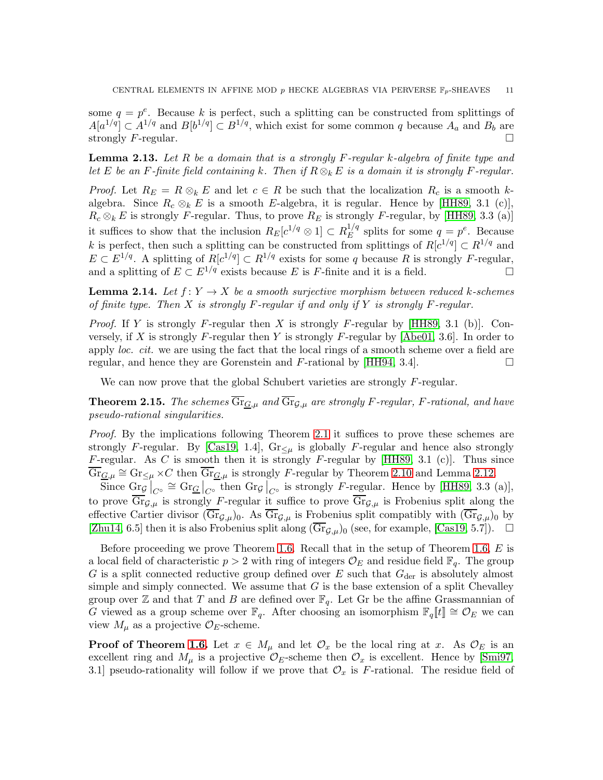some  $q = p^e$ . Because k is perfect, such a splitting can be constructed from splittings of  $A[a^{1/q}] \subset A^{1/q}$  and  $B[b^{1/q}] \subset B^{1/q}$ , which exist for some common q because  $A_a$  and  $B_b$  are strongly F-regular.

<span id="page-10-1"></span>**Lemma 2.13.** Let R be a domain that is a strongly F-regular k-algebra of finite type and let E be an F-finite field containing k. Then if  $R \otimes_k E$  is a domain it is strongly F-regular.

*Proof.* Let  $R_E = R \otimes_k E$  and let  $c \in R$  be such that the localization  $R_c$  is a smooth kalgebra. Since  $R_c \otimes_k E$  is a smooth E-algebra, it is regular. Hence by [\[HH89,](#page-26-12) 3.1 (c)],  $R_c \otimes_k E$  is strongly F-regular. Thus, to prove  $R_E$  is strongly F-regular, by [\[HH89,](#page-26-12) 3.3 (a)] it suffices to show that the inclusion  $R_E[c^{1/q} \otimes 1] \subset R_E^{1/q}$  $E^{1/q}$  splits for some  $q = p^e$ . Because k is perfect, then such a splitting can be constructed from splittings of  $R[c^{1/q}] \subset R^{1/q}$  and  $E \subset E^{1/q}$ . A splitting of  $R[c^{1/q}] \subset R^{1/q}$  exists for some q because R is strongly F-regular, and a splitting of  $E \subset E^{1/q}$  exists because E is F-finite and it is a field.

<span id="page-10-2"></span>**Lemma 2.14.** Let  $f: Y \to X$  be a smooth surjective morphism between reduced k-schemes of finite type. Then  $X$  is strongly  $F$ -regular if and only if  $Y$  is strongly  $F$ -regular.

*Proof.* If Y is strongly F-regular then X is strongly F-regular by [\[HH89,](#page-26-12) 3.1 (b)]. Con-versely, if X is strongly F-regular then Y is strongly F-regular by [\[Abe01,](#page-25-2) 3.6]. In order to apply loc. cit. we are using the fact that the local rings of a smooth scheme over a field are regular, and hence they are Gorenstein and F-rational by [\[HH94,](#page-26-11) 3.4].  $\Box$ 

We can now prove that the global Schubert varieties are strongly F-regular.

<span id="page-10-0"></span>**Theorem 2.15.** The schemes  $\overline{\text{Gr}}_{G,\mu}$  and  $\overline{\text{Gr}}_{G,\mu}$  are strongly F-regular, F-rational, and have pseudo-rational singularities.

*Proof.* By the implications following Theorem [2.1](#page-5-1) it suffices to prove these schemes are strongly F-regular. By [\[Cas19,](#page-26-2) 1.4],  $\text{Gr}_{\leq \mu}$  is globally F-regular and hence also strongly F-regular. As C is smooth then it is strongly F-regular by [\[HH89,](#page-26-12) 3.1 (c)]. Thus since  $\overline{\text{Gr}}_{\underline{G},\mu} \cong \text{Gr}_{\leq \mu} \times C$  then  $\overline{\text{Gr}}_{\underline{G},\mu}$  is strongly F-regular by Theorem [2.10](#page-9-2) and Lemma [2.12.](#page-9-1)

Since  $\frac{\text{Gr}_{\mathcal{G}}}{\text{Corr}_{\mathcal{G}}}\Big|_{C^{\circ}} \cong \frac{\text{Gr}_{\mathcal{G}}}{\text{Corr}_{\mathcal{G}}}\Big|_{C^{\circ}}$  is strongly F-regular. Hence by [\[HH89,](#page-26-12) 3.3 (a)], to prove  $\overline{\text{Gr}}_{\mathcal{G},\mu}$  is strongly F-regular it suffice to prove  $\overline{\text{Gr}}_{\mathcal{G},\mu}$  is Frobenius split along the effective Cartier divisor  $(\overline{\text{Gr}}_{\mathcal{G},\mu})_0$ . As  $\overline{\text{Gr}}_{\mathcal{G},\mu}$  is Frobenius split compatibly with  $(\overline{\text{Gr}}_{\mathcal{G},\mu})_0$  by [\[Zhu14,](#page-27-2) 6.5] then it is also Frobenius split along  $(\overline{\text{Gr}}_{\mathcal{G},\mu})_0$  (see, for example, [\[Cas19,](#page-26-2) 5.7]).  $\Box$ 

Before proceeding we prove Theorem [1.6.](#page-4-2) Recall that in the setup of Theorem [1.6,](#page-4-2)  $E$  is a local field of characteristic  $p > 2$  with ring of integers  $\mathcal{O}_E$  and residue field  $\mathbb{F}_q$ . The group G is a split connected reductive group defined over E such that  $G_{\text{der}}$  is absolutely almost simple and simply connected. We assume that  $G$  is the base extension of a split Chevalley group over Z and that T and B are defined over  $\mathbb{F}_q$ . Let Gr be the affine Grassmannian of G viewed as a group scheme over  $\mathbb{F}_q$ . After choosing an isomorphism  $\mathbb{F}_q[[t]] \cong \mathcal{O}_E$  we can view  $M_{\mu}$  as a projective  $\mathcal{O}_E$ -scheme.

**Proof of Theorem [1.6.](#page-4-2)** Let  $x \in M_\mu$  and let  $\mathcal{O}_x$  be the local ring at x. As  $\mathcal{O}_E$  is an excellent ring and  $M_{\mu}$  is a projective  $\mathcal{O}_E$ -scheme then  $\mathcal{O}_x$  is excellent. Hence by [\[Smi97,](#page-27-3) 3.1] pseudo-rationality will follow if we prove that  $\mathcal{O}_x$  is F-rational. The residue field of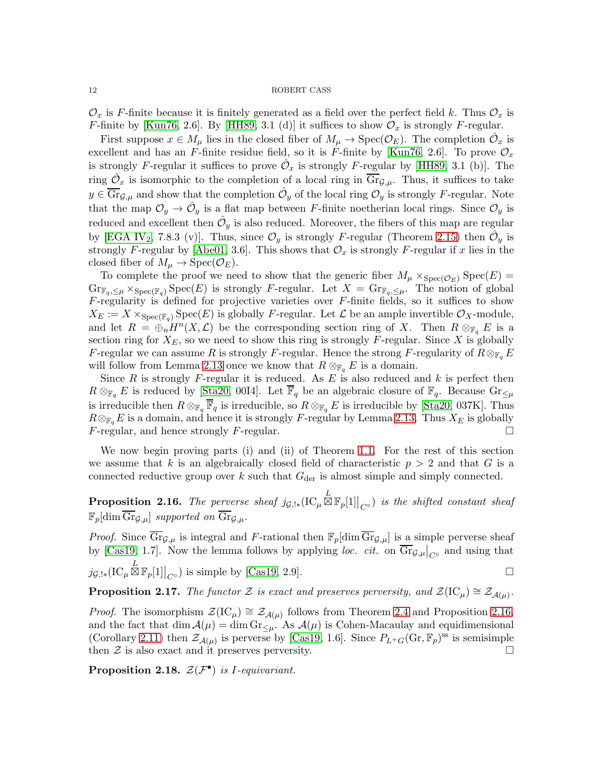$\mathcal{O}_x$  is F-finite because it is finitely generated as a field over the perfect field k. Thus  $\mathcal{O}_x$  is F-finite by [\[Kun76,](#page-26-18) 2.6]. By [\[HH89,](#page-26-12) 3.1 (d)] it suffices to show  $\mathcal{O}_x$  is strongly F-regular.

First suppose  $x \in M_\mu$  lies in the closed fiber of  $M_\mu \to \text{Spec}(\mathcal{O}_E)$ . The completion  $\hat{\mathcal{O}}_x$  is excellent and has an F-finite residue field, so it is F-finite by [\[Kun76,](#page-26-18) 2.6]. To prove  $\mathcal{O}_x$ is strongly F-regular it suffices to prove  $\hat{\mathcal{O}}_x$  is strongly F-regular by [\[HH89,](#page-26-12) 3.1 (b)]. The ring  $\hat{\mathcal{O}}_x$  is isomorphic to the completion of a local ring in  $\overline{\text{Gr}}_{\mathcal{G},\mu}$ . Thus, it suffices to take  $y \in \overline{\text{Gr}}_{\mathcal{G},\mu}$  and show that the completion  $\hat{\mathcal{O}}_y$  of the local ring  $\mathcal{O}_y$  is strongly F-regular. Note that the map  $\mathcal{O}_y \to \hat{\mathcal{O}}_y$  is a flat map between F-finite noetherian local rings. Since  $\mathcal{O}_y$  is reduced and excellent then  $\hat{\mathcal{O}}_y$  is also reduced. Moreover, the fibers of this map are regular by [\[EGA IV](#page-26-19)<sub>2</sub>, 7.8.3 (v)]. Thus, since  $\mathcal{O}_y$  is strongly F-regular (Theorem [2.15\)](#page-10-0) then  $\hat{\mathcal{O}}_y$  is strongly F-regular by [\[Abe01,](#page-25-2) 3.6]. This shows that  $\mathcal{O}_x$  is strongly F-regular if x lies in the closed fiber of  $M_\mu \to \text{Spec}(\mathcal{O}_E)$ .

To complete the proof we need to show that the generic fiber  $M_{\mu} \times_{Spec(\mathcal{O}_E)} Spec(E) =$  $\text{Gr}_{\mathbb{F}_q,\leq\mu}\times_{\text{Spec}(\mathbb{F}_q)}\text{Spec}(E)$  is strongly F-regular. Let  $X = \text{Gr}_{\mathbb{F}_q,\leq\mu}$ . The notion of global  $F$ -regularity is defined for projective varieties over  $F$ -finite fields, so it suffices to show  $X_E := X \times_{\text{Spec}(\mathbb{F}_q)} \text{Spec}(E)$  is globally F-regular. Let  $\mathcal L$  be an ample invertible  $\mathcal O_X$ -module, and let  $R = \bigoplus_{n=0}^{\infty} H^n(X, \mathcal{L})$  be the corresponding section ring of X. Then  $R \otimes_{\mathbb{F}_q} E$  is a section ring for  $X_E$ , so we need to show this ring is strongly F-regular. Since X is globally F-regular we can assume R is strongly F-regular. Hence the strong F-regularity of  $R \otimes_{\mathbb{F}_q} E$ will follow from Lemma [2.13](#page-10-1) once we know that  $R \otimes_{\mathbb{F}_q} E$  is a domain.

Since  $R$  is strongly  $F$ -regular it is reduced. As  $E$  is also reduced and  $k$  is perfect then  $R \otimes_{\mathbb{F}_q} E$  is reduced by [\[Sta20,](#page-27-7) 00I4]. Let  $\overline{\mathbb{F}}_q$  be an algebraic closure of  $\mathbb{F}_q$ . Because  $\text{Gr}_{\leq \mu}$ is irreducible then  $R \otimes_{\mathbb{F}_q} \overline{\mathbb{F}}_q$  is irreducible, so  $R \otimes_{\mathbb{F}_q} E$  is irreducible by [\[Sta20,](#page-27-7) 037K]. Thus  $R \otimes_{\mathbb{F}_q} E$  is a domain, and hence it is strongly F-regular by Lemma [2.13.](#page-10-1) Thus  $X_E$  is globally  $F$ -regular, and hence strongly  $F$ -regular.

We now begin proving parts (i) and (ii) of Theorem [1.1.](#page-2-0) For the rest of this section we assume that k is an algebraically closed field of characteristic  $p > 2$  and that G is a connected reductive group over  $k$  such that  $G_{\text{der}}$  is almost simple and simply connected.

<span id="page-11-0"></span>**Proposition 2.16.** The perverse sheaf  $j_{\mathcal{G},!*}(\mathrm{IC}_{\mu}\boxtimes\mathbb{F}_p[1]|_{C^{\circ}})$  is the shifted constant sheaf  $\mathbb{F}_p[\dim \overline{\text{Gr}}_{G,\mu}]$  supported on  $\overline{\text{Gr}}_{G,\mu}$ .

*Proof.* Since  $\overline{\text{Gr}}_{\mathcal{G},\mu}$  is integral and F-rational then  $\mathbb{F}_p[\dim \overline{\text{Gr}}_{\mathcal{G},\mu}]$  is a simple perverse sheaf by [\[Cas19,](#page-26-2) 1.7]. Now the lemma follows by applying *loc. cit.* on  $\overline{\text{Gr}}_{\mathcal{G},\mu}|_{C^{\circ}}$  and using that  $j_{\mathcal{G},!*}(\mathrm{IC}_{\mu}\boxtimes\mathbb{F}_p[1]|_{C^{\circ}})$  is simple by [\[Cas19,](#page-26-2) 2.9].

**Proposition 2.17.** The functor Z is exact and preserves perversity, and  $\mathcal{Z}(\mathrm{IC}_{\mu}) \cong \mathcal{Z}_{\mathcal{A}(\mu)}$ .

*Proof.* The isomorphism  $\mathcal{Z}(IC_\mu) \cong \mathcal{Z}_{\mathcal{A}(\mu)}$  follows from Theorem [2.4](#page-7-1) and Proposition [2.16,](#page-11-0) and the fact that dim  $A(\mu) = \dim \text{Gr}_{\leq \mu}$ . As  $A(\mu)$  is Cohen-Macaulay and equidimensional (Corollary [2.11\)](#page-9-3) then  $\mathcal{Z}_{\mathcal{A}(\mu)}$  is perverse by [\[Cas19,](#page-26-2) 1.6]. Since  $P_{L^+G}(\text{Gr}, \mathbb{F}_p)$ <sup>ss</sup> is semisimple then  $\mathcal Z$  is also exact and it preserves perversity.

<span id="page-11-1"></span>Proposition 2.18.  $\mathcal{Z}(\mathcal{F}^{\bullet})$  is *I*-equivariant.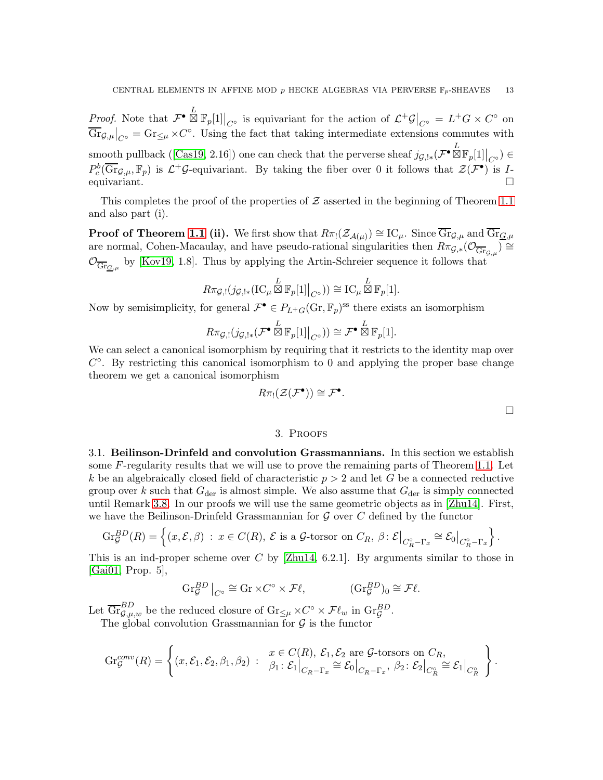*Proof.* Note that  $\mathcal{F}^{\bullet} \boxtimes \mathbb{F}_p[1]|_{C^{\circ}}$  is equivariant for the action of  $\mathcal{L}^{\dagger} \mathcal{G}|_{C^{\circ}} = L^{\dagger} G \times C^{\circ}$  on  $\overline{\text{Gr}}_{\mathcal{G},\mu}\big|_{C^\circ} = \text{Gr}_{\leq \mu} \times C^\circ$ . Using the fact that taking intermediate extensions commutes with smoothpullback ([\[Cas19,](#page-26-2) 2.16]) one can check that the perverse sheaf  $j_{\mathcal{G},!*}(\mathcal{F}^{\bullet} \boxtimes \mathbb{F}_p[1]|_{C^{\circ}}) \in \mathbb{R}^{+}$  $P_c^b(\overline{\text{Gr}}_{\mathcal{G},\mu},\mathbb{F}_p)$  is  $\mathcal{L}^+\mathcal{G}$ -equivariant. By taking the fiber over 0 it follows that  $\mathcal{Z}(\mathcal{F}^{\bullet})$  is Iequivariant.

This completes the proof of the properties of  $\mathcal Z$  asserted in the beginning of Theorem [1.1](#page-2-0) and also part (i).

**Proof of Theorem [1.1](#page-2-0) (ii).** We first show that  $R\pi_!(\mathcal{Z}_{\mathcal{A}(\mu)}) \cong \mathrm{IC}_{\mu}$ . Since  $\overline{\mathrm{Gr}}_{\mathcal{G},\mu}$  and  $\overline{\mathrm{Gr}}_{\mathcal{G},\mu}$ are normal, Cohen-Macaulay, and have pseudo-rational singularities then  $R\pi_{\mathcal{G},*}(\mathcal{O}_{\overline{\mathrm{Gr}}_{\mathcal{G},\mu}}) \cong$  $\mathcal{O}_{\overline{\text{Gr}}_{\underline{G},\mu}}$  by [\[Kov19,](#page-26-6) 1.8]. Thus by applying the Artin-Schreier sequence it follows that

$$
R\pi_{\mathcal{G},!}(j_{\mathcal{G},!*}(\mathrm{IC}_{\mu}\boxtimes\mathbb{F}_p[1]|_{C^{\circ}}))\cong\mathrm{IC}_{\mu}\stackrel{L}{\boxtimes}\mathbb{F}_p[1].
$$

Now by semisimplicity, for general  $\mathcal{F}^{\bullet} \in P_{L^+G}(\text{Gr}, \mathbb{F}_p)^{\text{ss}}$  there exists an isomorphism

$$
R\pi_{\mathcal{G},!}(j_{\mathcal{G},!*}(\mathcal{F}^{\bullet}\boxtimes\mathbb{F}_p[1]|_{C^{\circ}})) \cong \mathcal{F}^{\bullet}\boxtimes\mathbb{F}_p[1].
$$

We can select a canonical isomorphism by requiring that it restricts to the identity map over  $C^{\circ}$ . By restricting this canonical isomorphism to 0 and applying the proper base change theorem we get a canonical isomorphism

$$
R\pi_!({\mathcal Z}({\mathcal F}^{\bullet}))\cong{\mathcal F}^{\bullet}.
$$

 $\Box$ 

## 3. Proofs

<span id="page-12-1"></span><span id="page-12-0"></span>3.1. Beilinson-Drinfeld and convolution Grassmannians. In this section we establish some F-regularity results that we will use to prove the remaining parts of Theorem [1.1.](#page-2-0) Let k be an algebraically closed field of characteristic  $p > 2$  and let G be a connected reductive group over k such that  $G_{\text{der}}$  is almost simple. We also assume that  $G_{\text{der}}$  is simply connected until Remark [3.8.](#page-21-0) In our proofs we will use the same geometric objects as in [\[Zhu14\]](#page-27-2). First, we have the Beilinson-Drinfeld Grassmannian for  $\mathcal G$  over  $C$  defined by the functor

$$
\mathrm{Gr}_{\mathcal{G}}^{BD}(R) = \left\{ (x,\mathcal{E},\beta) : x \in C(R), \ \mathcal{E} \text{ is a } \mathcal{G}\text{-torsor on } C_R, \ \beta \colon \mathcal{E}\big|_{C_R^{\circ} - \Gamma_x} \cong \mathcal{E}_0\big|_{C_R^{\circ} - \Gamma_x} \right\}.
$$

This is an ind-proper scheme over  $C$  by [\[Zhu14,](#page-27-2) 6.2.1]. By arguments similar to those in [\[Gai01,](#page-26-5) Prop. 5],

$$
\operatorname{Gr}_{\mathcal{G}}^{BD}\big|_{C^{\circ}} \cong \operatorname{Gr} \times C^{\circ} \times \mathcal{F}\ell, \qquad (\operatorname{Gr}_{\mathcal{G}}^{BD})_0 \cong \mathcal{F}\ell.
$$

Let  $\overline{\text{Gr}}_{\mathcal{G},\mu,w}^{BD}$  be the reduced closure of  $\text{Gr}_{\leq \mu} \times C^{\circ} \times \mathcal{F}\ell_w$  in  $\text{Gr}_{\mathcal{G}}^{BD}$ .

The global convolution Grassmannian for  $\mathcal G$  is the functor

$$
\operatorname{Gr}_{\mathcal{G}}^{conv}(R) = \left\{ (x, \mathcal{E}_1, \mathcal{E}_2, \beta_1, \beta_2) : \begin{array}{l} x \in C(R), \ \mathcal{E}_1, \mathcal{E}_2 \text{ are } \mathcal{G}\text{-torsors on } C_R, \\ \beta_1: \ \mathcal{E}_1 \big|_{C_R - \Gamma_x} \cong \mathcal{E}_0 \big|_{C_R - \Gamma_x}, \ \beta_2: \ \mathcal{E}_2 \big|_{C_R^{\circ}} \cong \mathcal{E}_1 \big|_{C_R^{\circ}} \end{array} \right\}.
$$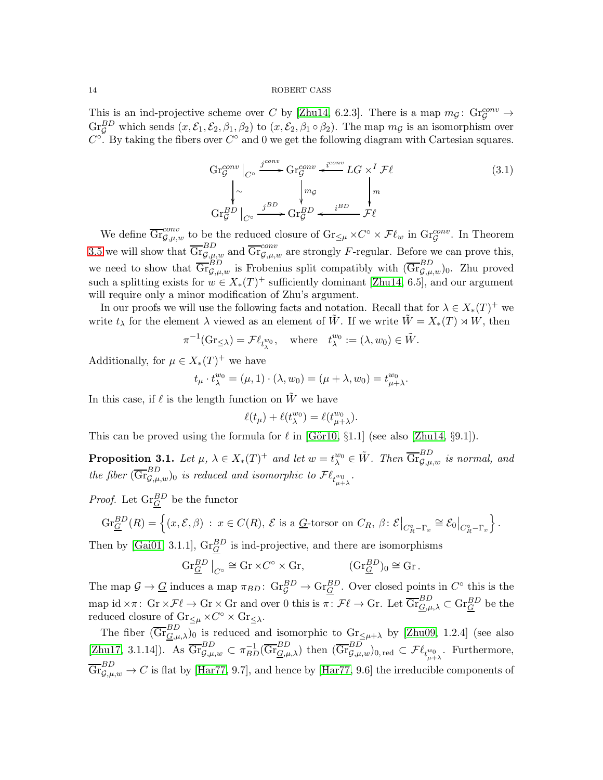This is an ind-projective scheme over C by [\[Zhu14,](#page-27-2) 6.2.3]. There is a map  $m_{\mathcal{G}}\colon \text{Gr}_{\mathcal{G}}^{conv} \to$  $\text{Gr}_{\mathcal{G}}^{BD}$  which sends  $(x,\mathcal{E}_1,\mathcal{E}_2,\beta_1,\beta_2)$  to  $(x,\mathcal{E}_2,\beta_1 \circ \beta_2)$ . The map  $m_{\mathcal{G}}$  is an isomorphism over  $C^{\circ}$ . By taking the fibers over  $C^{\circ}$  and 0 we get the following diagram with Cartesian squares.

$$
\operatorname{Gr}_{\mathcal{G}}^{conv}\Big|_{C^{\circ}} \xrightarrow{j^{conv}} \operatorname{Gr}_{\mathcal{G}}^{conv} \xleftarrow{i^{conv}} LG \times^{I} \mathcal{F}\ell
$$
\n
$$
\Big|_{\sim} \Big|_{\sim} \qquad \qquad \int_{m_{\mathcal{G}}}^{m_{\mathcal{G}}} \Big|_{\mathcal{G}^{\circ}} \xrightarrow{j^{BD}} \operatorname{Gr}_{\mathcal{G}}^{BD} \xleftarrow{i^{BD}} \mathcal{F}\ell
$$
\n
$$
(3.1)
$$

We define  $\overline{\text{Gr}}_{\mathcal{G},\mu,w}^{conv}$  to be the reduced closure of  $\text{Gr}_{\leq\mu}\times C^{\circ}\times\mathcal{F}\ell_{w}$  in  $\text{Gr}_{\mathcal{G}}^{conv}$ . In Theorem [3.5](#page-16-1) we will show that  $\overline{\text{Gr}}_{\mathcal{G},\mu,w}^{BD}$  and  $\overline{\text{Gr}}_{\mathcal{G},\mu,w}^{conv}$  are strongly F-regular. Before we can prove this, we need to show that  $\overline{\mathrm{Gr}}_{\mathcal{G},\mu,w}^{BD}$  is Frobenius split compatibly with  $(\overline{\mathrm{Gr}}_{\mathcal{G},\mu,w}^{BD})_0$ . Zhu proved such a splitting exists for  $w \in X_*(T)^+$  sufficiently dominant [\[Zhu14,](#page-27-2) 6.5], and our argument will require only a minor modification of Zhu's argument.

In our proofs we will use the following facts and notation. Recall that for  $\lambda \in X_*(T)^+$  we write  $t_\lambda$  for the element  $\lambda$  viewed as an element of  $\tilde{W}$ . If we write  $\tilde{W} = X_*(T) \rtimes W$ , then

$$
\pi^{-1}(\mathrm{Gr}_{\leq \lambda}) = \mathcal{F}\ell_{t_{\lambda}^{w_0}} , \quad \text{where} \quad t_{\lambda}^{w_0} := (\lambda, w_0) \in \tilde{W}.
$$

Additionally, for  $\mu \in X_*(T)^+$  we have

$$
t_{\mu} \cdot t_{\lambda}^{w_0} = (\mu, 1) \cdot (\lambda, w_0) = (\mu + \lambda, w_0) = t_{\mu + \lambda}^{w_0}.
$$

In this case, if  $\ell$  is the length function on  $\tilde{W}$  we have

$$
\ell(t_{\mu}) + \ell(t_{\lambda}^{w_0}) = \ell(t_{\mu+\lambda}^{w_0}).
$$

This can be proved using the formula for  $\ell$  in [Gör10, §1.1] (see also [\[Zhu14,](#page-27-2) §9.1]).

<span id="page-13-0"></span>**Proposition 3.1.** Let  $\mu$ ,  $\lambda \in X_*(T)^+$  and let  $w = t_{\lambda}^{w_0} \in \tilde{W}$ . Then  $\overline{\mathrm{Gr}}_{\mathcal{G},\mu,w}^{BD}$  is normal, and the fiber  $(\overline{\mathrm{Gr}}_{\mathcal{G},\mu,w}^{BD})_0$  is reduced and isomorphic to  $\mathcal{F}\ell_{t^w_{\mu+\lambda}}$ .

*Proof.* Let  $\text{Gr}_{\underline{G}}^{BD}$  be the functor

$$
\operatorname{Gr}_{\underline{G}}^{BD}(R) = \left\{ (x, \mathcal{E}, \beta) : x \in C(R), \ \mathcal{E} \text{ is a } \underline{G}\text{-torsor on } C_R, \ \beta \colon \mathcal{E}\big|_{C_R^{\circ} - \Gamma_x} \cong \mathcal{E}_0\big|_{C_R^{\circ} - \Gamma_x} \right\}.
$$

Then by [\[Gai01,](#page-26-5) 3.1.1],  $\text{Gr}_{\underline{G}}^{BD}$  is ind-projective, and there are isomorphisms

$$
\operatorname{Gr}_{\underline{G}}^{BD}\big|_{C^\circ} \cong \operatorname{Gr} \times C^\circ \times \operatorname{Gr}, \qquad (\operatorname{Gr}_{\underline{G}}^{BD})_0 \cong \operatorname{Gr}.
$$

The map  $\mathcal{G} \to \underline{G}$  induces a map  $\pi_{BD}$ :  $\text{Gr}_{\mathcal{G}}^{BD} \to \text{Gr}_{\underline{G}}^{BD}$ . Over closed points in  $C^{\circ}$  this is the map id  $\times\pi\colon$  Gr  $\times\mathcal{F}\ell\to$  Gr  $\times$  Gr and over 0 this is  $\pi\colon\mathcal{F}\ell\to$  Gr. Let  $\overline{\mathrm{Gr}}_{\underline{G},\mu,\lambda}^{BD}\subset\mathrm{Gr}_{\underline{G}}^{BD}$  be the reduced closure of  $\text{Gr}_{\leq \mu} \times C^{\circ} \times \text{Gr}_{\leq \lambda}$ .

The fiber  $(\overline{\text{Gr}}_{\underline{G},\mu,\lambda}^{BD})_0$  is reduced and isomorphic to  $\text{Gr}_{\leq \mu+\lambda}$  by [\[Zhu09,](#page-27-8) 1.2.4] (see also [\[Zhu17,](#page-27-4) 3.1.14]). As  $\overline{\mathrm{Gr}}_{\mathcal{G},\mu,w}^{BD} \subset \pi_{BD}^{-1}(\overline{\mathrm{Gr}}_{\mathcal{G},\mu,\lambda}^{BD})$  then  $(\overline{\mathrm{Gr}}_{\mathcal{G},\mu,w}^{BD})_{0,\text{red}} \subset \mathcal{F}\ell_{t_{\mu+\lambda}^{w_0}}$ . Furthermore,  $\overline{\mathrm{Gr}}_{\mathcal{G},\mu,w}^{BD} \to C$  is flat by [\[Har77,](#page-26-15) 9.7], and hence by [Har77, 9.6] the irreducible components of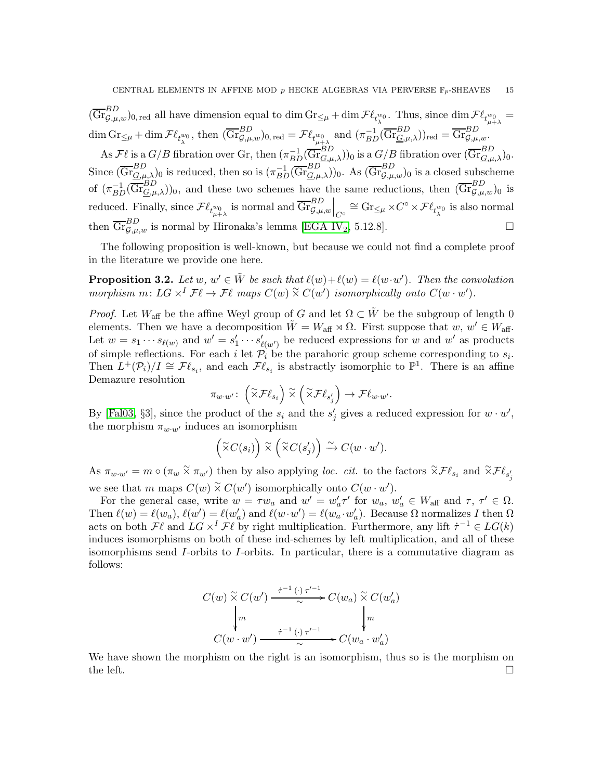$(\overline{\mathrm{Gr}}_{\mathcal{G},\mu,w}^{BD})_{0,\,\mathrm{red}}$  all have dimension equal to dim  $\mathrm{Gr}_{\leq \mu} + \dim \mathcal{F}\ell_{t_{\lambda}^{w_0}}$ . Thus, since  $\dim \mathcal{F}\ell_{t_{\mu+\lambda}^{w_0}} =$  $\lambda$   $\iota_{\mu+\lambda}$  $\dim \text{Gr}_{\leq \mu} + \dim \mathcal{F}\ell_{t_{\lambda}^{w_0}} \text{, then } (\overline{\text{Gr}}_{\mathcal{G},\mu,w}^{BD})_{0\text{, red}} = \mathcal{F}\ell_{t_{\mu+\lambda}^{w_0}} \text{ and } (\pi_{BD}^{-1}(\overline{\text{Gr}}_{\underline{G},\mu,\lambda}^{BD})_{\text{red}} = \overline{\text{Gr}}_{\mathcal{G},\mu,w}^{BD} \text{.}$ 

As  $\mathcal{F}\ell$  is a  $G/B$  fibration over Gr, then  $(\pi_{BD}^{-1}(\overline{\mathrm{Gr}}_{\underline{G},\mu,\lambda}^{BD}))_0$  is a  $G/B$  fibration over  $(\overline{\mathrm{Gr}}_{\underline{G},\mu,\lambda}^{BD})_0$ . Since  $(\overline{\mathrm{Gr}}_{\underline{G},\mu,\lambda}^{BD})_0$  is reduced, then so is  $(\pi_{BD}^{-1}(\overline{\mathrm{Gr}}_{\underline{G},\mu,\lambda}^{BD}))_0$ . As  $(\overline{\mathrm{Gr}}_{\mathcal{G},\mu,w}^{BD})_0$  is a closed subscheme of  $(\pi_{BD}^{-1}(\overline{\mathrm{Gr}}_{\mathcal{G},\mu,\lambda}^{BD}))_0$ , and these two schemes have the same reductions, then  $(\overline{\mathrm{Gr}}_{\mathcal{G},\mu,w}^{BD})_0$  is reduced. Finally, since  $\mathcal{F}\ell_{t^{w_0}_{\mu+\lambda}}$  is normal and  $\overline{\text{Gr}}_{\mathcal{G},\mu,w}^{BD}\Big|_{C^\circ} \cong \text{Gr}_{\leq \mu} \times C^\circ \times \mathcal{F}\ell_{t^{w_0}_{\lambda}}$  is also normal then  $\overline{\text{Gr}}_{\mathcal{G},\mu,w}^{BD}$  is normal by Hironaka's lemma [\[EGA IV](#page-26-19)<sub>2</sub>, 5.12.8].

The following proposition is well-known, but because we could not find a complete proof in the literature we provide one here.

<span id="page-14-0"></span>**Proposition 3.2.** Let  $w, w' \in \tilde{W}$  be such that  $\ell(w) + \ell(w) = \ell(w \cdot w')$ . Then the convolution morphism  $m: LG \times^{I} \mathcal{F}\ell \to \mathcal{F}\ell$  maps  $C(w) \times C(w')$  isomorphically onto  $C(w \cdot w')$ .

*Proof.* Let  $W_{\text{aff}}$  be the affine Weyl group of G and let  $\Omega \subset \tilde{W}$  be the subgroup of length 0 elements. Then we have a decomposition  $\tilde{W} = W_{\text{aff}} \rtimes \Omega$ . First suppose that  $w, w' \in W_{\text{aff}}$ . Let  $w = s_1 \cdots s_{\ell(w)}$  and  $w' = s'_1 \cdots s'_{\ell(w')}$  be reduced expressions for w and w' as products of simple reflections. For each i let  $\mathcal{P}_i$  be the parahoric group scheme corresponding to  $s_i$ . Then  $L^+(\mathcal{P}_i)/I \cong \mathcal{F}\ell_{s_i}$ , and each  $\mathcal{F}\ell_{s_i}$  is abstractly isomorphic to  $\mathbb{P}^1$ . There is an affine Demazure resolution

$$
\pi_{w \cdot w'} \colon \left( \widetilde{\times} \mathcal{F}\ell_{s_i} \right) \widetilde{\times} \left( \widetilde{\times} \mathcal{F}\ell_{s'_j} \right) \to \mathcal{F}\ell_{w \cdot w'}.
$$

By [\[Fal03,](#page-26-9) §3], since the product of the  $s_i$  and the  $s'_j$  gives a reduced expression for  $w \cdot w'$ , the morphism  $\pi_{w \cdot w'}$  induces an isomorphism

$$
\left(\widetilde{\times}C(s_i)\right)\widetilde{\times}\left(\widetilde{\times}C(s'_j)\right)\stackrel{\sim}{\to} C(w\cdot w').
$$

As  $\pi_{w \cdot w'} = m \circ (\pi_w \times \pi_{w'})$  then by also applying loc. cit. to the factors  $\widetilde{\times} \mathcal{F} \ell_{s_i}$  and  $\widetilde{\times} \mathcal{F} \ell_{s'_j}$ we see that m maps  $C(w) \times C(w')$  isomorphically onto  $C(w \cdot w')$ .

For the general case, write  $w = \tau w_a$  and  $w' = w'_a \tau'$  for  $w_a$ ,  $w'_a \in W_{\text{aff}}$  and  $\tau$ ,  $\tau' \in \Omega$ . Then  $\ell(w) = \ell(w_a)$ ,  $\ell(w') = \ell(w'_a)$  and  $\ell(w \cdot w') = \ell(w_a \cdot w'_a)$ . Because  $\Omega$  normalizes I then  $\Omega$ acts on both  $\mathcal{F}\ell$  and  $LG \times^I \mathcal{F}\ell$  by right multiplication. Furthermore, any lift  $\dot{\tau}^{-1} \in LG(k)$ induces isomorphisms on both of these ind-schemes by left multiplication, and all of these isomorphisms send  $I$ -orbits to  $I$ -orbits. In particular, there is a commutative diagram as follows:

$$
C(w) \overset{\sim}{\times} C(w') \xrightarrow{\qquad \tau^{-1} (\cdot) \tau'^{-1}} C(w_a) \overset{\sim}{\times} C(w'_a)
$$
  
\n
$$
\downarrow m \qquad \qquad \downarrow m
$$
  
\n
$$
C(w \cdot w') \xrightarrow{\qquad \tau^{-1} (\cdot) \tau'^{-1}} C(w_a \cdot w'_a)
$$

We have shown the morphism on the right is an isomorphism, thus so is the morphism on the left.  $\square$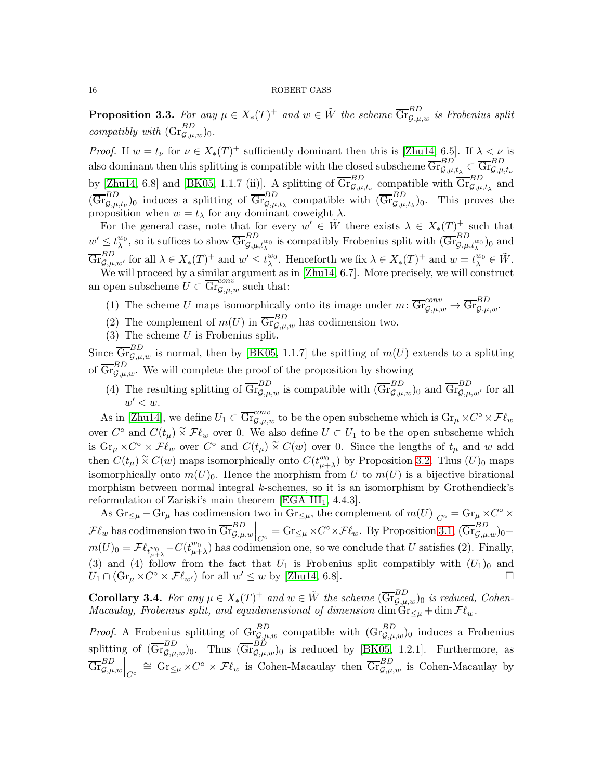**Proposition 3.3.** For any  $\mu \in X_*(T)^+$  and  $w \in \tilde{W}$  the scheme  $\overline{\mathrm{Gr}}_{\mathcal{G},\mu,w}^{BD}$  is Frobenius split compatibly with  $(\overline{\mathrm{Gr}}_{\mathcal{G},\mu,w}^{BD})_0$ .

*Proof.* If  $w = t_{\nu}$  for  $\nu \in X_*(T)^+$  sufficiently dominant then this is [\[Zhu14,](#page-27-2) 6.5]. If  $\lambda < \nu$  is also dominant then this splitting is compatible with the closed subscheme  $\overline{\mathrm{Gr}}_{\mathcal{G},\mu,t_\lambda}^{BD} \subset \overline{\mathrm{Gr}}_{\mathcal{G},\mu,t_\nu}^{BD}$ by [\[Zhu14,](#page-27-2) 6.8] and [\[BK05,](#page-26-21) 1.1.7 (ii)]. A splitting of  $\overline{\text{Gr}}_{\mathcal{G},\mu,t_{\nu}}^{BD}$  compatible with  $\overline{\text{Gr}}_{\mathcal{G},\mu,t_{\lambda}}^{BD}$  and  $(\overline{\text{Gr}}_{\mathcal{G},\mu,t_{\nu}}^{BD})$  induces a splitting of  $\overline{\text{Gr}}_{\mathcal{G},\mu,t_{\lambda}}^{BD}$  compatible with  $(\overline{\text{Gr}}_{\mathcal{G},\mu,t_{\lambda}}^{BD})$ . This proves the proposition when  $w = t_{\lambda}$  for any dominant coweight  $\lambda$ .

For the general case, note that for every  $w' \in \tilde{W}$  there exists  $\lambda \in X_*(T)^+$  such that  $w' \leq t_\lambda^{w_0}$  $_{\lambda}^{w_0}$ , so it suffices to show  $\overline{\mathrm{Gr}}_{\mathcal{G},\mu,t_\lambda^{w_0}}^{BD}$  is compatibly Frobenius split with  $(\overline{\mathrm{Gr}}_{\mathcal{G},\mu,t_\lambda^{w_0}}^{BD})_0$  and  $\overline{\mathrm{Gr}}_{\mathcal{G},\mu,w'}^{BD}$  for all  $\lambda \in X_*(T)^+$  and  $w' \leq t_\lambda^{w_0}$  $\psi_0^w$ . Henceforth we fix  $\lambda \in X_*(T)^+$  and  $w = t_\lambda^{w_0} \in \tilde{W}$ .

We will proceed by a similar argument as in [\[Zhu14,](#page-27-2) 6.7]. More precisely, we will construct an open subscheme  $U \subset \overline{\mathrm{Gr}}_{\mathcal{G},\mu,w}^{conv}$  such that:

- (1) The scheme U maps isomorphically onto its image under  $m: \overline{\mathrm{Gr}}_{\mathcal{G},\mu,w}^{conv} \to \overline{\mathrm{Gr}}_{\mathcal{G},\mu,w}^{BD}$ .
- (2) The complement of  $m(U)$  in  $\overline{\text{Gr}}_{\mathcal{G},\mu,w}^{BD}$  has codimension two.
- (3) The scheme  $U$  is Frobenius split.

Since  $\overline{\text{Gr}}_{\mathcal{G},\mu,w}^{BD}$  is normal, then by [\[BK05,](#page-26-21) 1.1.7] the spitting of  $m(U)$  extends to a splitting of  $\overline{\mathrm{Gr}}_{\mathcal{G},\mu,w}^{BD}$ . We will complete the proof of the proposition by showing

(4) The resulting splitting of  $\overline{\mathrm{Gr}}_{\mathcal{G},\mu,w}^{BD}$  is compatible with  $(\overline{\mathrm{Gr}}_{\mathcal{G},\mu,w}^{BD})_0$  and  $\overline{\mathrm{Gr}}_{\mathcal{G},\mu,w'}^{BD}$  for all  $w' < w$ .

As in [\[Zhu14\]](#page-27-2), we define  $U_1 \subset \overline{\text{Gr}}_{\mathcal{G},\mu,w}^{conv}$  to be the open subscheme which is  $\text{Gr}_{\mu} \times C^{\circ} \times \mathcal{F}\ell_w$ over  $C^{\circ}$  and  $C(t_{\mu}) \times \mathcal{F}\ell_{w}$  over 0. We also define  $U \subset U_1$  to be the open subscheme which is  $\text{Gr}_{\mu} \times C^{\circ} \times \mathcal{F}\ell_{w}$  over  $C^{\circ}$  and  $C(t_{\mu}) \times C(w)$  over 0. Since the lengths of  $t_{\mu}$  and w add then  $C(t_\mu) \times C(w)$  maps isomorphically onto  $C(t^{w_0}_{\mu+1})$  $_{\mu+\lambda}^{w_0}$  by Proposition [3.2.](#page-14-0) Thus  $(U)_0$  maps isomorphically onto  $m(U)_0$ . Hence the morphism from U to  $m(U)$  is a bijective birational morphism between normal integral k-schemes, so it is an isomorphism by Grothendieck's reformulation of Zariski's main theorem [EGA  $III<sub>1</sub>$ , 4.4.3].

As  $\text{Gr}_{\leq \mu} - \text{Gr}_{\mu}$  has codimension two in  $\text{Gr}_{\leq \mu}$ , the complement of  $m(U)|_{C^{\circ}} = \text{Gr}_{\mu} \times C^{\circ} \times$  $\mathcal{F}\ell_w$  has codimension two in  $\overline{\mathrm{Gr}}_{\mathcal{G},\mu,w}^{BD}\Big|_{C^\circ} = \mathrm{Gr}_{\leq \mu} \times C^\circ \times \mathcal{F}\ell_w$ . By Proposition [3.1,](#page-13-0)  $(\overline{\mathrm{Gr}}_{\mathcal{G},\mu,w}^{BD})_0$  $m(U)_0 = \mathcal{F} \ell_{t_{\mu+\lambda}^{w_0}} - C(t_{\mu+\mu}^{w_0})$  $_{\mu+\lambda}^{w_0}$ ) has codimension one, so we conclude that U satisfies (2). Finally, (3) and (4) follow from the fact that  $U_1$  is Frobenius split compatibly with  $(U_1)_0$  and  $U_1 \cap (\text{Gr}_{\mu} \times C^{\circ} \times \mathcal{F}\ell_{w'})$  for all  $w' \leq w$  by [\[Zhu14,](#page-27-2) 6.8].

**Corollary 3.4.** For any  $\mu \in X_*(T)^+$  and  $w \in \tilde{W}$  the scheme  $(\overline{\text{Gr}}_{\mathcal{G},\mu,w}^{BD})_0$  is reduced, Cohen-Macaulay, Frobenius split, and equidimensional of dimension dim  $\text{Gr}_{\leq \mu} + \dim \mathcal{F}\ell_w$ .

*Proof.* A Frobenius splitting of  $\overline{\mathrm{Gr}}_{\mathcal{G},\mu,w}^{BD}$  compatible with  $(\overline{\mathrm{Gr}}_{\mathcal{G},\mu,w}^{BD})$  induces a Frobenius splitting of  $(\overline{\mathrm{Gr}}_{\mathcal{G},\mu,w}^{BD})_0$ . Thus  $(\overline{\mathrm{Gr}}_{\mathcal{G},\mu,w}^{BD})_0$  is reduced by [\[BK05,](#page-26-21) 1.2.1]. Furthermore, as  $\overline{\mathrm{Gr}}_{\mathcal{G},\mu,w}^{BD}\Big|_{C^\circ} \cong \mathrm{Gr}_{\leq \mu} \times C^\circ \times \mathcal{F}\ell_w$  is Cohen-Macaulay then  $\overline{\mathrm{Gr}}_{\mathcal{G},\mu,w}^{BD}$  is Cohen-Macaulay by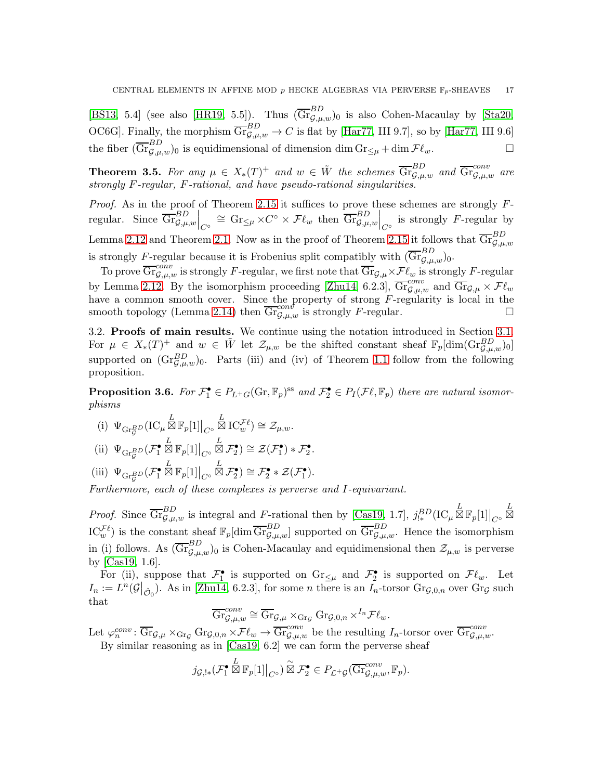[\[BS13,](#page-26-23) 5.4] (see also [\[HR19,](#page-26-8) 5.5]). Thus  $(\overline{\text{Gr}}_{\mathcal{G},\mu,w}^{BD})_0$  is also Cohen-Macaulay by [\[Sta20,](#page-27-7) OC6G]. Finally, the morphism  $\overline{\mathrm{Gr}}_{\mathcal{G},\mu,w}^{BD} \to C$  is flat by [\[Har77,](#page-26-15) III 9.7], so by [Har77, III 9.6] the fiber  $(\overline{\text{Gr}}_{\mathcal{G},\mu,w}^{BD})_0$  is equidimensional of dimension dim  $\text{Gr}_{\leq \mu} + \dim \mathcal{F}\ell_w$ .

<span id="page-16-1"></span>**Theorem 3.5.** For any  $\mu \in X_*(T)^+$  and  $w \in \tilde{W}$  the schemes  $\overline{\text{Gr}}_{\mathcal{G},\mu,w}^{BD}$  and  $\overline{\text{Gr}}_{\mathcal{G},\mu,w}^{conv}$  are strongly F-regular, F-rational, and have pseudo-rational singularities.

*Proof.* As in the proof of Theorem [2.15](#page-10-0) it suffices to prove these schemes are strongly  $F$ regular. Since  $\overline{\mathrm{Gr}}_{\mathcal{G},\mu,w}^{BD}\Big|_{C^{\circ}} \cong \mathrm{Gr}_{\leq \mu} \times C^{\circ} \times \mathcal{F}\ell_w$  then  $\overline{\mathrm{Gr}}_{\mathcal{G},\mu,w}^{BD}\Big|_{C^{\circ}}$  is strongly F-regular by Lemma [2.12](#page-9-1) and Theorem [2.1.](#page-5-1) Now as in the proof of Theorem [2.15](#page-10-0) it follows that  $\overline{\text{Gr}}_{\mathcal{G},\mu,w}^{BD}$ is strongly F-regular because it is Frobenius split compatibly with  $(\overline{\mathrm{Gr}}_{\mathcal{G},\mu,w}^{BD})_0$ .

To prove  $\overline{\text{Gr}}_{\mathcal{G},\mu,w}^{conv}$  is strongly F-regular, we first note that  $\overline{\text{Gr}}_{\mathcal{G},\mu}\times\mathcal{F}\ell_w$  is strongly F-regular by Lemma [2.12.](#page-9-1) By the isomorphism proceeding [\[Zhu14,](#page-27-2) 6.2.3],  $\overline{\text{Gr}}_{\mathcal{G},\mu,w}^{conv}$  and  $\overline{\text{Gr}}_{\mathcal{G},\mu} \times \mathcal{F}\ell_w$ have a common smooth cover. Since the property of strong F-regularity is local in the smooth topology (Lemma [2.14\)](#page-10-2) then  $\overline{\text{Gr}}_{\mathcal{G},\mu,w}^{cont}$  is strongly F-regular.

<span id="page-16-0"></span>3.2. Proofs of main results. We continue using the notation introduced in Section [3.1.](#page-12-1) For  $\mu \in X_*(T)^+$  and  $w \in \tilde{W}$  let  $\mathcal{Z}_{\mu,w}$  be the shifted constant sheaf  $\mathbb{F}_p[\dim(\mathrm{Gr}_{\mathcal{G},\mu,w}^{BD})_0]$ supported on  $(\text{Gr}_{\mathcal{G},\mu,w}^{BD})_0$ . Parts (iii) and (iv) of Theorem [1.1](#page-2-0) follow from the following proposition.

**Proposition 3.6.** For  $\mathcal{F}_1^{\bullet} \in P_{L^+G}(\mathbb{G}_T, \mathbb{F}_p)^{ss}$  and  $\mathcal{F}_2^{\bullet} \in P_I(\mathcal{F}\ell, \mathbb{F}_p)$  there are natural isomorphisms

- (i)  $\Psi_{\text{Gr}_{g}^{BD}}(\text{IC}_{\mu}\boxtimes \mathbb{F}_p[1]|_{C^{\circ}}$  $\stackrel{L}{\boxtimes} \operatorname{IC}_{w}^{\mathcal{F}\ell}$   $\cong \mathcal{Z}_{\mu,w}.$
- (ii)  $\Psi_{\text{Gr}^{BD}_\mathcal{G}}(\mathcal{F}_1^{\bullet})$  $\stackrel{L}{\boxtimes} \mathbb{F}_p[1]\big|_{C^\circ}$  $\mathbb{E} \mathcal{F}^{\bullet}_2) \cong \mathcal{Z}(\mathcal{F}^{\bullet}_1) * \mathcal{F}^{\bullet}_2.$
- (iii)  $\Psi_{\text{Gr}^{BD}_\mathcal{G}}(\mathcal{F}^\bullet_1)$  $\mathbb{Z}\,\mathbb{F}_p[1]\big|_{C^\circ}$  $L \boxtimes \mathcal{F}_2^{\bullet}$   $\cong \mathcal{F}_2^{\bullet} * \mathcal{Z}(\mathcal{F}_1^{\bullet}).$

Furthermore, each of these complexes is perverse and I-equivariant.

*Proof.* Since  $\overline{\mathrm{Gr}}_{\mathcal{G},\mu,w}^{BD}$  is integral and F-rational then by [\[Cas19,](#page-26-2) 1.7],  $j_{!*}^{BD}(\mathrm{IC}_{\mu}\boxtimes\mathbb{F}_p[1]|_{C^{\circ}}$ L ⊠  $\mathrm{IC}_{w}^{\mathcal{F}\ell}$  is the constant sheaf  $\mathbb{F}_p[\dim \overline{\mathrm{Gr}}_{\mathcal{G},\mu,w}^{BD}]$  supported on  $\overline{\mathrm{Gr}}_{\mathcal{G},\mu,w}^{BD}$ . Hence the isomorphism in (i) follows. As  $(\overline{\mathrm{Gr}}_{\mathcal{G},\mu,w}^{BD})_0$  is Cohen-Macaulay and equidimensional then  $\mathcal{Z}_{\mu,w}$  is perverse by [\[Cas19,](#page-26-2) 1.6].

For (ii), suppose that  $\mathcal{F}_1^{\bullet}$  is supported on  $\text{Gr}_{\leq \mu}$  and  $\mathcal{F}_2^{\bullet}$  is supported on  $\mathcal{F}\ell_w$ . Let  $I_n := L^n(\mathcal{G}|_{\hat{\mathcal{O}}_0})$ . As in [\[Zhu14,](#page-27-2) 6.2.3], for some *n* there is an  $I_n$ -torsor  $\text{Gr}_{\mathcal{G},0,n}$  over  $\text{Gr}_{\mathcal{G}}$  such that

$$
\overline{\mathrm{Gr}}_{\mathcal{G},\mu,w}^{conv} \cong \overline{\mathrm{Gr}}_{\mathcal{G},\mu} \times_{\mathrm{Gr}_\mathcal{G}} \mathrm{Gr}_{\mathcal{G},0,n} \times^{I_n} \mathcal{F} \ell_w.
$$

Let  $\varphi_n^{conv} \colon \overline{\text{Gr}}_{\mathcal{G},\mu} \times_{\text{Gr}_\mathcal{G}} \text{Gr}_{\mathcal{G},0,n} \times \mathcal{F}\ell_w \to \overline{\text{Gr}}_{\mathcal{G},\mu,w}^{conv}$  be the resulting  $I_n$ -torsor over  $\overline{\text{Gr}}_{\mathcal{G},\mu,w}^{conv}$ . By similar reasoning as in [\[Cas19,](#page-26-2) 6.2] we can form the perverse sheaf

$$
j_{\mathcal{G},!*}(\mathcal{F}_1^{\bullet} \boxtimes \mathbb{F}_p[1]|_{C^{\circ}}) \overset{\sim}{\boxtimes} \mathcal{F}_2^{\bullet} \in P_{\mathcal{L}^+ \mathcal{G}}(\overline{\mathrm{Gr}}_{\mathcal{G},\mu,w}^{conv}, \mathbb{F}_p).
$$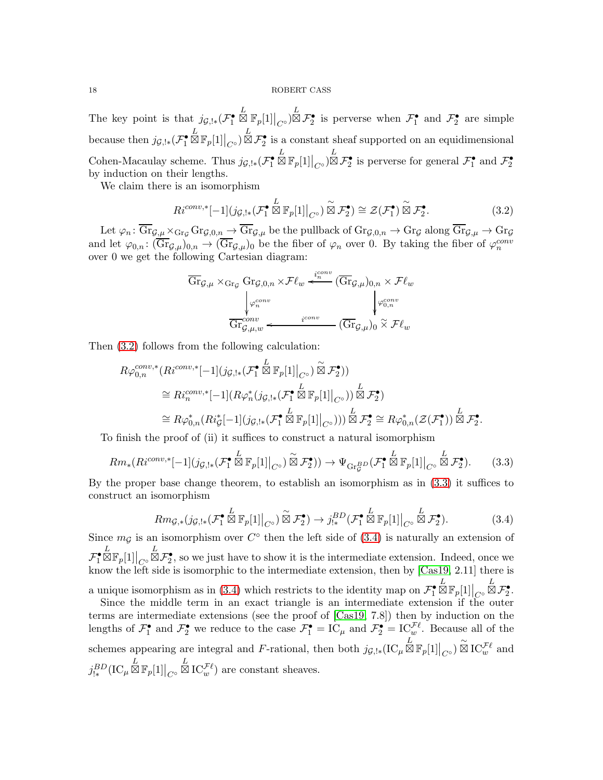The key point is that  $j_{\mathcal{G},!*}(\mathcal{F}_1^{\bullet})$  $\mathbb{E}_{\mathbb{E}_{p}[1]\big|_{C^{\circ}}}\mathbb{E}_{p}$  is perverse when  $\mathcal{F}_{1}^{\bullet}$  and  $\mathcal{F}_{2}^{\bullet}$  are simple because then  $j_{\mathcal{G},!*}(\mathcal{F}_1^{\bullet})$  $\mathbb{E}_{\mathbb{E}_{p}[1]\big|_{C^{\circ}}}\mathbb{E}_{\mathcal{F}_{2}^{\bullet}}$  is a constant sheaf supported on an equidimensional Cohen-Macaulay scheme. Thus  $j_{\mathcal{G},!*}(\mathcal{F}_1^{\bullet})$  $\mathbb{E}_{\mathbb{E}_{p}[1]\big|_{C^{\circ}}}\mathbb{E}_{\mathbb{E}_{p}[2]}\mathbb{E}_{\mathbb{E}_{p}[2]}$  is perverse for general  $\mathcal{F}_{1}^{\bullet}$  and  $\mathcal{F}_{2}^{\bullet}$ by induction on their lengths.

We claim there is an isomorphism

<span id="page-17-0"></span>
$$
Ri^{conv,*}[-1](j_{\mathcal{G},!*}(\mathcal{F}_1^{\bullet} \overset{L}{\boxtimes} \mathbb{F}_p[1]|_{C^{\circ}}) \overset{\sim}{\boxtimes} \mathcal{F}_2^{\bullet}) \cong \mathcal{Z}(\mathcal{F}_1^{\bullet}) \overset{\sim}{\boxtimes} \mathcal{F}_2^{\bullet}.
$$
 (3.2)

Let  $\varphi_n \colon \overline{\text{Gr}}_{\mathcal{G},\mu} \times_{\text{Gr}_\mathcal{G}} \text{Gr}_{\mathcal{G},0,n} \to \overline{\text{Gr}}_{\mathcal{G},\mu}$  be the pullback of  $\text{Gr}_{\mathcal{G},0,n} \to \text{Gr}_\mathcal{G}$  along  $\overline{\text{Gr}}_{\mathcal{G},\mu} \to \text{Gr}_\mathcal{G}$ and let  $\varphi_{0,n} : (\overline{\text{Gr}}_{\mathcal{G},\mu})_{0,n} \to (\overline{\text{Gr}}_{\mathcal{G},\mu})_0$  be the fiber of  $\varphi_n$  over 0. By taking the fiber of  $\varphi_n^{conv}$ over 0 we get the following Cartesian diagram:

$$
\overline{\text{Gr}}_{\mathcal{G},\mu} \times_{\text{Gr}_\mathcal{G}} \text{Gr}_{\mathcal{G},0,n} \times \mathcal{F}\ell_w \stackrel{i_c^{conv}}{\leftarrow} (\overline{\text{Gr}}_{\mathcal{G},\mu})_{0,n} \times \mathcal{F}\ell_w
$$
\n
$$
\downarrow_{\varphi_n^{conv}} \qquad \qquad \downarrow_{\varphi_{0,n}^{conv}} \qquad \qquad \downarrow_{\varphi_{0,n}^{conv}} \qquad \qquad \downarrow_{\varphi_{0,n}^{conv}} \qquad \qquad
$$

Then [\(3.2\)](#page-17-0) follows from the following calculation:

$$
R\varphi_{0,n}^{conv,*}(Ri^{conv,*}[-1](j_{\mathcal{G},!*}(\mathcal{F}_1^{\bullet \overset{L}{\otimes}} \mathbb{F}_p[1]|_{C^{\circ}}) \overset{\sim}{\boxtimes} \mathcal{F}_2^{\bullet}))
$$
  
\n
$$
\cong Ri_n^{conv,*}[-1](R\varphi_n^*(j_{\mathcal{G},!*}(\mathcal{F}_1^{\bullet \overset{L}{\otimes}} \mathbb{F}_p[1]|_{C^{\circ}})) \overset{L}{\boxtimes} \mathcal{F}_2^{\bullet})
$$
  
\n
$$
\cong R\varphi_{0,n}^*(Ri_{\mathcal{G}}^*[-1](j_{\mathcal{G},!*}(\mathcal{F}_1^{\bullet \overset{L}{\otimes}} \mathbb{F}_p[1]|_{C^{\circ}}))) \overset{L}{\boxtimes} \mathcal{F}_2^{\bullet} \cong R\varphi_{0,n}^*(\mathcal{Z}(\mathcal{F}_1^{\bullet})) \overset{L}{\boxtimes} \mathcal{F}_2^{\bullet}.
$$

To finish the proof of (ii) it suffices to construct a natural isomorphism

<span id="page-17-1"></span>
$$
Rm_*(Ri^{conv,*}[-1](j_{\mathcal{G},!*}(\mathcal{F}_1^{\bullet \Sigma} \mathbb{E}_p[1]|_{C^{\circ}}) \overset{\sim}{\boxtimes} \mathcal{F}_2^{\bullet})) \to \Psi_{\mathrm{Gr}_\mathcal{G}^{BD}}(\mathcal{F}_1^{\bullet \Sigma} \mathbb{E}_p[1]|_{C^{\circ}} \overset{L}{\boxtimes} \mathcal{F}_2^{\bullet}).
$$
 (3.3)

By the proper base change theorem, to establish an isomorphism as in [\(3.3\)](#page-17-1) it suffices to construct an isomorphism

<span id="page-17-2"></span>
$$
Rmg_{,*}(j_{\mathcal{G},!*}(\mathcal{F}_1^{\bullet} \boxtimes \mathbb{F}_p[1]|_{C^{\circ}}) \overset{\sim}{\boxtimes} \mathcal{F}_2^{\bullet}) \to j_{!*}^{BD}(\mathcal{F}_1^{\bullet} \boxtimes \mathbb{F}_p[1]|_{C^{\circ}} \overset{L}{\boxtimes} \mathcal{F}_2^{\bullet}).
$$
\n(3.4)

Since  $m<sub>G</sub>$  is an isomorphism over  $C<sup>o</sup>$  then the left side of [\(3.4\)](#page-17-2) is naturally an extension of  $\mathcal{F}_1^{\bullet}$  $\mathbb{ZF}_p[1]\big|_{C^\circ}$  $\mathbb{Z} \mathcal{F}_2^{\bullet}$ , so we just have to show it is the intermediate extension. Indeed, once we know the left side is isomorphic to the intermediate extension, then by [\[Cas19,](#page-26-2) 2.11] there is a unique isomorphism as in [\(3.4\)](#page-17-2) which restricts to the identity map on  $\mathcal{F}_1^{\bullet}$  $\mathbb{ZF}_p[1]\big|_{C^\circ}$  $\overset{L}{\boxtimes} \mathcal{F}_{2}^{\bullet}.$ 

Since the middle term in an exact triangle is an intermediate extension if the outer terms are intermediate extensions (see the proof of [\[Cas19,](#page-26-2) 7.8]) then by induction on the lengths of  $\mathcal{F}_1^{\bullet}$  and  $\mathcal{F}_2^{\bullet}$  we reduce to the case  $\mathcal{F}_1^{\bullet} = \text{IC}_{\mu}$  and  $\mathcal{F}_2^{\bullet} = \text{IC}_{w}^{\mathcal{F}\ell}$ . Because all of the schemes appearing are integral and F-rational, then both  $j_{\mathcal{G},!*}(\mathrm{IC}_{\mu}\boxtimes\mathbb{F}_p[1]|_{C^{\circ}}) \overset{\sim}{\otimes} \mathrm{IC}_{w}^{\mathcal{F}\ell}$  and  $j_{!*}^{BD}(\mathrm{IC}_\mu\,\overset{L}{\boxtimes}\,\mathbb{F}_p[1]\big|_{C^\circ}$  $\stackrel{L}{\boxtimes} \mathrm{IC}^{\mathcal{F}\ell}_{w}$  are constant sheaves.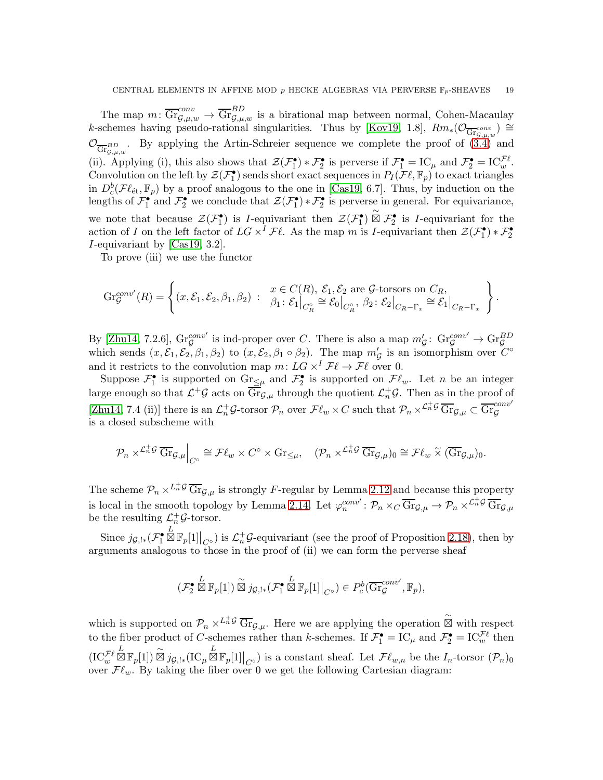The map  $m: \overline{\text{Gr}}_{\mathcal{G},\mu,w}^{conv} \to \overline{\text{Gr}}_{\mathcal{G},\mu,w}^{BD}$  is a birational map between normal, Cohen-Macaulay k-schemes having pseudo-rational singularities. Thus by [\[Kov19,](#page-26-6) 1.8],  $Rm_*(\mathcal{O}_{\overline{\mathrm{Gr}}_{\mathcal{G},\mu,w}^{\text{conv}}}) \cong$  $\mathcal{O}_{\overline{\text{Gr}}_{\mathcal{G},\mu,w}}$ . By applying the Artin-Schreier sequence we complete the proof of [\(3.4\)](#page-17-2) and (ii). Applying (i), this also shows that  $\mathcal{Z}(\mathcal{F}_1^{\bullet}) * \mathcal{F}_2^{\bullet}$  is perverse if  $\mathcal{F}_1^{\bullet} = \mathrm{IC}_{\mu}$  and  $\mathcal{F}_2^{\bullet} = \mathrm{IC}_{w}^{\mathcal{F}\ell}$ . Convolution on the left by  $\mathcal{Z}(\mathcal{F}_1^{\bullet})$  sends short exact sequences in  $P_I(\mathcal{F}\ell,\mathbb{F}_p)$  to exact triangles in  $D_c^b(\mathcal{F}\ell_{\text{\'et}}, \mathbb{F}_p)$  by a proof analogous to the one in [\[Cas19,](#page-26-2) 6.7]. Thus, by induction on the lengths of  $\mathcal{F}_1^{\bullet}$  and  $\mathcal{F}_2^{\bullet}$  we conclude that  $\mathcal{Z}(\mathcal{F}_1^{\bullet}) * \mathcal{F}_2^{\bullet}$  is perverse in general. For equivariance, we note that because  $\mathcal{Z}(\mathcal{F}_1^{\bullet})$  is *I*-equivariant then  $\mathcal{Z}(\mathcal{F}_1^{\bullet}) \overset{\sim}{\boxtimes} \mathcal{F}_2^{\bullet}$  is *I*-equivariant for the action of I on the left factor of  $LG \times^{I} \mathcal{F}\ell$ . As the map m is I-equivariant then  $\mathcal{Z}(\mathcal{F}_1^{\bullet}) * \mathcal{F}_2^{\bullet}$ I-equivariant by [\[Cas19,](#page-26-2) 3.2].

To prove (iii) we use the functor

$$
\operatorname{Gr}_{\mathcal{G}}^{conv'}(R) = \left\{ (x, \mathcal{E}_1, \mathcal{E}_2, \beta_1, \beta_2) : \begin{array}{l} x \in C(R), \ \mathcal{E}_1, \mathcal{E}_2 \text{ are } \mathcal{G}\text{-torsors on } C_R, \\ \beta_1 \colon \mathcal{E}_1\big|_{C_R^{\circ}} \cong \mathcal{E}_0\big|_{C_R^{\circ}}, \ \beta_2 \colon \mathcal{E}_2\big|_{C_R - \Gamma_x} \cong \mathcal{E}_1\big|_{C_R - \Gamma_x} \end{array} \right\}.
$$

By [\[Zhu14,](#page-27-2) 7.2.6],  $\text{Gr}_{\mathcal{G}}^{conv'}$  is ind-proper over C. There is also a map  $m'_{\mathcal{G}}: \text{Gr}_{\mathcal{G}}^{conv'} \to \text{Gr}_{\mathcal{G}}^{BD}$ <br>which sends  $(x, \mathcal{E}_1, \mathcal{E}_2, \beta_1, \beta_2)$  to  $(x, \mathcal{E}_2, \beta_1 \circ \beta_2)$ . The map  $m'_{\mathcal{G}}$  is an iso and it restricts to the convolution map  $m: LG \times^{I} \mathcal{F}\ell \to \mathcal{F}\ell$  over 0.

Suppose  $\mathcal{F}_1^{\bullet}$  is supported on  $\text{Gr}_{\leq \mu}$  and  $\mathcal{F}_2^{\bullet}$  is supported on  $\mathcal{F}\ell_w$ . Let n be an integer large enough so that  $\mathcal{L}^+\mathcal{G}$  acts on  $\overline{\text{Gr}}_{\mathcal{G},\mu}$  through the quotient  $\mathcal{L}_n^+\mathcal{G}$ . Then as in the proof of [\[Zhu14,](#page-27-2) 7.4 (ii)] there is an  $\mathcal{L}_n^+\mathcal{G}\text{-torsor }\mathcal{P}_n$  over  $\mathcal{F}\ell_w \times C$  such that  $\mathcal{P}_n \times \mathcal{L}_n^+\mathcal{G} \overline{\text{Gr}}_{\mathcal{G},\mu} \subset \overline{\text{Gr}}_g^{conv'}$ is a closed subscheme with

$$
\mathcal{P}_n \times^{\mathcal{L}_n^+ \mathcal{G}} \overline{\text{Gr}}_{\mathcal{G},\mu} \Big|_{C^\circ} \cong \mathcal{F} \ell_w \times C^\circ \times \text{Gr}_{\leq \mu}, \quad (\mathcal{P}_n \times^{\mathcal{L}_n^+ \mathcal{G}} \overline{\text{Gr}}_{\mathcal{G},\mu})_0 \cong \mathcal{F} \ell_w \times (\overline{\text{Gr}}_{\mathcal{G},\mu})_0.
$$

The scheme  $\mathcal{P}_n \times^{L_n^+ \mathcal{G}} \overline{\text{Gr}}_{\mathcal{G},\mu}$  is strongly F-regular by Lemma [2.12](#page-9-1) and because this property is local in the smooth topology by Lemma [2.14.](#page-10-2) Let  $\varphi_n^{conv'} \colon \mathcal{P}_n \times_C \overline{\text{Gr}}_{\mathcal{G},\mu} \to \mathcal{P}_n \times^{\mathcal{L}_n^+ \mathcal{G}} \overline{\text{Gr}}_{\mathcal{G},\mu}$ be the resulting  $\mathcal{L}_n^+ \mathcal{G}\text{-torsor.}$ 

Since  $j_{\mathcal{G},!*}(\mathcal{F}_1^{\bullet})$  $\mathbb{E}_{\mathbb{E}_{p}[1]\big|_{C^{\circ}}}$  is  $\mathcal{L}_{n}^{+}\mathcal{G}$ -equivariant (see the proof of Proposition [2.18\)](#page-11-1), then by arguments analogous to those in the proof of (ii) we can form the perverse sheaf

$$
(\mathcal{F}_2^{\bullet} \overset{L}{\boxtimes} \mathbb{F}_p[1]) \overset{\sim}{\boxtimes} j_{\mathcal{G},!*} (\mathcal{F}_1^{\bullet} \overset{L}{\boxtimes} \mathbb{F}_p[1]|_{C^{\circ}}) \in P_c^b(\overline{\mathrm{Gr}}_{\mathcal{G}}^{conv'}, \mathbb{F}_p),
$$

which is supported on  $\mathcal{P}_n \times L^{\frac{1}{n}\mathcal{G}} \overline{\text{Gr}}_{\mathcal{G},\mu}$ . Here we are applying the operation  $\overset{\sim}{\boxtimes}$  with respect to the fiber product of C-schemes rather than k-schemes. If  $\mathcal{F}_1^{\bullet} = \text{IC}_{\mu}$  and  $\mathcal{F}_2^{\bullet} = \text{IC}_{w}^{\mathcal{F}\ell}$  then  $(\mathrm{IC}^{\mathcal{F}\ell}_w$  $\mathbb{E}_{\mathbb{E}_{p}}[1] \cong j_{\mathcal{G},!*}(\mathrm{IC}_{\mu} \mathbb{E}_{p}[1]|_{C^{\circ}})$  is a constant sheaf. Let  $\mathcal{F}\ell_{w,n}$  be the  $I_{n}$ -torsor  $(\mathcal{P}_{n})_{0}$ over  $\mathcal{F}\ell_w$ . By taking the fiber over 0 we get the following Cartesian diagram: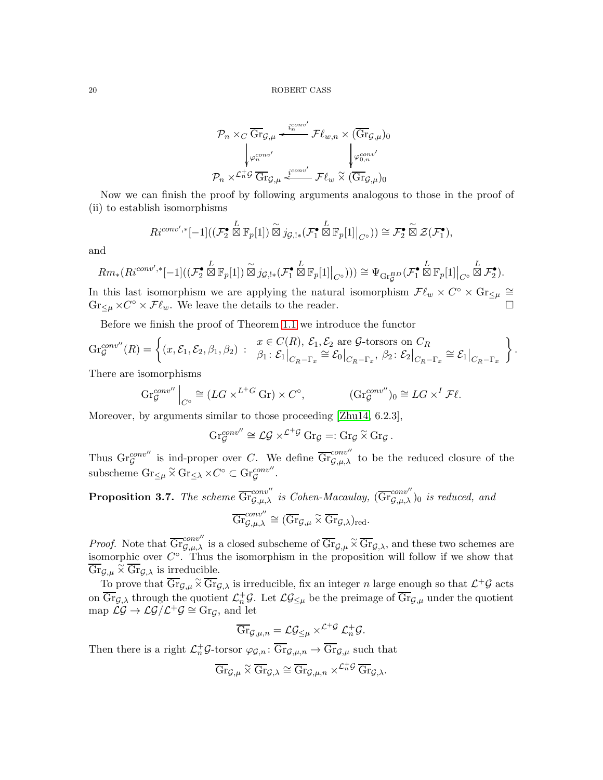$$
\mathcal{P}_n \times_C \overline{\text{Gr}}_{\mathcal{G},\mu} \xleftarrow{i_n^{conv'}} \mathcal{F}\ell_{w,n} \times (\overline{\text{Gr}}_{\mathcal{G},\mu})_0
$$
\n
$$
\downarrow_{\varphi_n^{conv'}} \qquad \qquad \downarrow_{\varphi_{0,n}^{conv'}} \varphi_{0,n}^{conv'}
$$
\n
$$
\mathcal{P}_n \times \mathcal{L}_n^{\perp} \mathcal{G} \xrightarrow{\text{Gr}} \mathcal{G},\mu} \xleftarrow{i_{conv'}} \mathcal{F}\ell_w \overset{\text{def}}{\times} (\overline{\text{Gr}}_{\mathcal{G},\mu})_0
$$

Now we can finish the proof by following arguments analogous to those in the proof of (ii) to establish isomorphisms

$$
Ri^{conv',*}[-1]((\mathcal{F}_2^{\bullet} \boxtimes \mathbb{F}_p[1]) \overset{\sim}{\boxtimes} j_{\mathcal{G},!*}(\mathcal{F}_1^{\bullet} \overset{L}{\boxtimes} \mathbb{F}_p[1]|_{C^{\circ}})) \cong \mathcal{F}_2^{\bullet} \overset{\sim}{\boxtimes} \mathcal{Z}(\mathcal{F}_1^{\bullet}),
$$

and

$$
Rm_*(Ri^{conv',*}[-1]((\mathcal{F}_2^{\bullet} \boxtimes \mathbb{F}_p[1]) \overset{\sim}{\boxtimes} j_{\mathcal{G},!*}(\mathcal{F}_1^{\bullet} \overset{L}{\boxtimes} \mathbb{F}_p[1]|_{C^{\circ}}))) \cong \Psi_{\mathrm{Gr}_\mathcal{G}^{\mathbf{B}D}}(\mathcal{F}_1^{\bullet} \overset{L}{\boxtimes} \mathbb{F}_p[1]|_{C^{\circ}} \overset{L}{\boxtimes} \mathcal{F}_2^{\bullet}).
$$

In this last isomorphism we are applying the natural isomorphism  $\mathcal{F}\ell_w \times C^\circ \times \text{Gr}_{\leq \mu} \cong$  $\text{Gr}_{\leq \mu} \times C^{\circ} \times \mathcal{F}\ell_{w}$ . We leave the details to the reader.

Before we finish the proof of Theorem [1.1](#page-2-0) we introduce the functor

$$
\operatorname{Gr}_{\mathcal{G}}^{conv''}(R) = \left\{ (x, \mathcal{E}_1, \mathcal{E}_2, \beta_1, \beta_2) : \begin{array}{l} x \in C(R), \ \mathcal{E}_1, \mathcal{E}_2 \text{ are } \mathcal{G}\text{-torsors on } C_R \\ \beta_1 \colon \mathcal{E}_1 \big|_{C_R - \Gamma_x} \cong \mathcal{E}_0 \big|_{C_R - \Gamma_x}, \ \beta_2 \colon \mathcal{E}_2 \big|_{C_R - \Gamma_x} \cong \mathcal{E}_1 \big|_{C_R - \Gamma_x} \end{array} \right\}.
$$

There are isomorphisms

$$
\operatorname{Gr}_{\mathcal{G}}^{conv''} \Big|_{C^{\circ}} \cong (LG \times^{L^+G} \operatorname{Gr}) \times C^{\circ}, \qquad (\operatorname{Gr}_{\mathcal{G}}^{conv''})_0 \cong LG \times^I \mathcal{F} \ell.
$$

Moreover, by arguments similar to those proceeding [\[Zhu14,](#page-27-2) 6.2.3],

$$
\mathrm{Gr}^{conv''}_{\mathcal{G}} \cong \mathcal{LG} \times^{\mathcal{L}^+ \mathcal{G}} \mathrm{Gr}_{\mathcal{G}} =: \mathrm{Gr}_{\mathcal{G}} \times \mathrm{Gr}_{\mathcal{G}}.
$$

Thus  $\text{Gr}_{\mathcal{G}}^{conv''}$  is ind-proper over C. We define  $\overline{\text{Gr}}_{\mathcal{G},\mu,\lambda}^{conv''}$  to be the reduced closure of the subscheme  $\text{Gr}_{\leq \mu} \tilde{\times} \text{Gr}_{\leq \lambda} \times C^{\circ} \subset \text{Gr}_{\mathcal{G}}^{conv''}.$ 

<span id="page-19-0"></span>**Proposition 3.7.** The scheme 
$$
\overline{\text{Gr}}_{\mathcal{G},\mu,\lambda}^{conv''}
$$
 is Cohen-Macaulay,  $(\overline{\text{Gr}}_{\mathcal{G},\mu,\lambda}^{conv''})_0$  is reduced, and  $\overline{\text{Gr}}_{\mathcal{G},\mu,\lambda}^{conv''} \cong (\overline{\text{Gr}}_{\mathcal{G},\mu} \tilde{\times} \overline{\text{Gr}}_{\mathcal{G},\lambda})_{\text{red}}.$ 

*Proof.* Note that  $\overline{\mathrm{Gr}}_{\mathcal{G},\mu,\lambda}^{conv''}$  is a closed subscheme of  $\overline{\mathrm{Gr}}_{\mathcal{G},\mu} \tilde{\times} \overline{\mathrm{Gr}}_{\mathcal{G},\lambda}$ , and these two schemes are isomorphic over  $C^{\circ}$ . Thus the isomorphism in the proposition will follow if we show that  $\overline{\text{Gr}}_{\mathcal{G},\mu} \overset{\sim}{\times} \overline{\text{Gr}}_{\mathcal{G},\lambda}$  is irreducible.

To prove that  $\overline{\text{Gr}}_{\mathcal{G},\mu} \times \overline{\text{Gr}}_{\mathcal{G},\lambda}$  is irreducible, fix an integer n large enough so that  $\mathcal{L}^+\mathcal{G}$  acts on  $\overline{\text{Gr}}_{\mathcal{G},\lambda}$  through the quotient  $\mathcal{L}_n^+\mathcal{G}$ . Let  $\mathcal{LG}_{\leq\mu}$  be the preimage of  $\overline{\text{Gr}}_{\mathcal{G},\mu}$  under the quotient map  $\mathcal{LG} \to \mathcal{LG}/\mathcal{L}^+\mathcal{G} \cong \text{Gr}_{\mathcal{G}}$ , and let

$$
\overline{\text{Gr}}_{\mathcal G,\mu,n}=\mathcal L\mathcal G_{\leq\mu}\times^{\mathcal L^+\mathcal G}\mathcal L^+_n\mathcal G.
$$

Then there is a right  $\mathcal{L}_n^+\mathcal{G}\text{-torsor }\varphi_{\mathcal{G},n}:\overline{\text{Gr}}_{\mathcal{G},\mu,n}\to \overline{\text{Gr}}_{\mathcal{G},\mu}$  such that

$$
\overline{\text{Gr}}_{\mathcal{G},\mu} \,\widetilde{\times}\, \overline{\text{Gr}}_{\mathcal{G},\lambda} \cong \overline{\text{Gr}}_{\mathcal{G},\mu,n} \times^{\mathcal{L}_n^+\mathcal{G}} \overline{\text{Gr}}_{\mathcal{G},\lambda}.
$$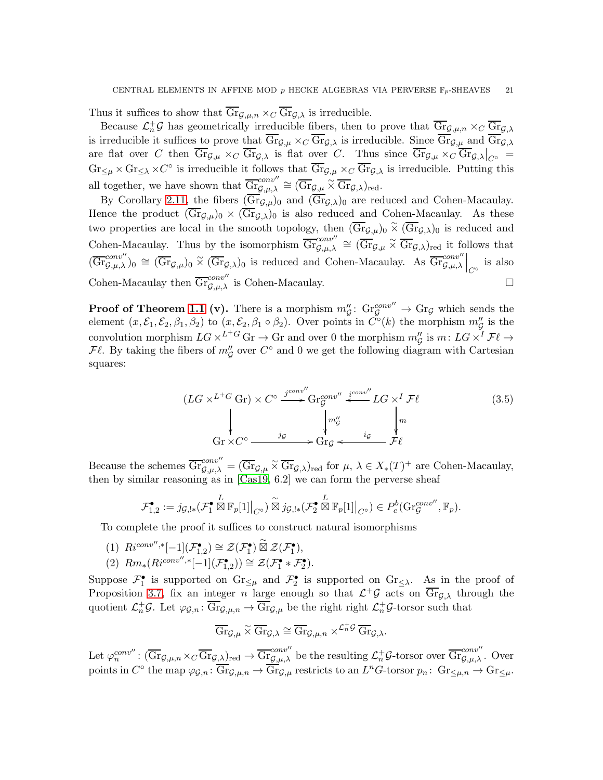Thus it suffices to show that  $\overline{\text{Gr}}_{\mathcal{G},\mu,n} \times_C \overline{\text{Gr}}_{\mathcal{G},\lambda}$  is irreducible.

Because  $\mathcal{L}_n^+ \mathcal{G}$  has geometrically irreducible fibers, then to prove that  $\overline{\text{Gr}}_{\mathcal{G},\mu,n} \times_C \overline{\text{Gr}}_{\mathcal{G},\lambda}$ is irreducible it suffices to prove that  $\overline{\text{Gr}}_{\mathcal{G},\mu} \times_C \overline{\text{Gr}}_{\mathcal{G},\lambda}$  is irreducible. Since  $\overline{\text{Gr}}_{\mathcal{G},\mu}$  and  $\overline{\text{Gr}}_{\mathcal{G},\lambda}$ are flat over C then  $\overline{Gr}_{\mathcal{G},\mu} \times_C \overline{Gr}_{\mathcal{G},\lambda}$  is flat over C. Thus since  $\overline{Gr}_{\mathcal{G},\mu} \times_C \overline{Gr}_{\mathcal{G},\lambda}|_{C^{\circ}} =$  $\text{Gr}_{\leq \mu} \times \text{Gr}_{\leq \lambda} \times C^{\circ}$  is irreducible it follows that  $\overline{\text{Gr}}_{\mathcal{G},\mu} \times_C \overline{\text{Gr}}_{\mathcal{G},\lambda}$  is irreducible. Putting this all together, we have shown that  $\overline{\mathrm{Gr}}_{\mathcal{G},\mu,\lambda}^{conv''} \cong (\overline{\mathrm{Gr}}_{\mathcal{G},\mu} \overset{\sim}{\times} \overline{\mathrm{Gr}}_{\mathcal{G},\lambda})_{\mathrm{red}}.$ 

By Corollary [2.11,](#page-9-3) the fibers  $(\overline{Gr}_{\mathcal{G},\mu})_0$  and  $(\overline{Gr}_{\mathcal{G},\lambda})_0$  are reduced and Cohen-Macaulay. Hence the product  $(\overline{\text{Gr}}_{\mathcal{G},\mu})_0 \times (\overline{\text{Gr}}_{\mathcal{G},\lambda})_0$  is also reduced and Cohen-Macaulay. As these two properties are local in the smooth topology, then  $(\overline{Gr}_{\mathcal{G},\mu})_0 \tilde{\times} (\overline{Gr}_{\mathcal{G},\lambda})_0$  is reduced and Cohen-Macaulay. Thus by the isomorphism  $\overline{\mathrm{Gr}}_{\mathcal{G},\mu,\lambda}^{conv''} \cong (\overline{\mathrm{Gr}}_{\mathcal{G},\mu} \tilde{\times} \overline{\mathrm{Gr}}_{\mathcal{G},\lambda})_{\text{red}}$  it follows that  $(\overline{\text{Gr}}_{\mathcal{G},\mu,\lambda}^{conv''})_0 \cong (\overline{\text{Gr}}_{\mathcal{G},\mu})_0 \times (\overline{\text{Gr}}_{\mathcal{G},\lambda})_0$  is reduced and Cohen-Macaulay. As  $\overline{\text{Gr}}_{\mathcal{G},\mu,\lambda}^{conv''}\Big|_{C^{\circ}}$  is also Cohen-Macaulay then  $\overline{\mathrm{Gr}}_{\mathcal{G},\mu,\lambda}^{conv''}$  is Cohen-Macaulay.

**Proof of Theorem [1.1](#page-2-0) (v).** There is a morphism  $m''_G$ :  $\text{Gr}^{conv''}_G \to \text{Gr}_G$  which sends the element  $(x, \mathcal{E}_1, \mathcal{E}_2, \beta_1, \beta_2)$  to  $(x, \mathcal{E}_2, \beta_1 \circ \beta_2)$ . Over points in  $\tilde{C}^{\circ}(k)$  the morphism  $m''_g$  is the convolution morphism  $LG \times^{L+G}$  Gr  $\to$  Gr and over 0 the morphism  $m''_G$  is  $m: LG \times^I \mathcal{F}\ell \to$  $\mathcal{F}\ell$ . By taking the fibers of  $m''_{\mathcal{G}}$  over  $C^{\circ}$  and 0 we get the following diagram with Cartesian squares:

$$
(LG \times L^{+} G \text{ Gr}) \times C^{\circ} \xrightarrow{j^{conv''}} \text{Gr}_{\mathcal{G}}^{conv''} \xleftarrow{i^{conv''}} LG \times^{I} \mathcal{F}\ell
$$
\n
$$
\downarrow \qquad \qquad \downarrow m''_{\mathcal{G}} \qquad \qquad \downarrow m
$$
\n
$$
\text{Gr} \times C^{\circ} \xrightarrow{j_{\mathcal{G}}} j_{\mathcal{G}} \xrightarrow{j_{\mathcal{G}}} \text{Gr}_{\mathcal{G}} \xleftarrow{i_{\mathcal{G}}} \mathcal{F}\ell
$$
\n(3.5)

Because the schemes  $\overline{\text{Gr}}_{\mathcal{G},\mu,\lambda}^{conv''} = (\overline{\text{Gr}}_{\mathcal{G},\mu} \tilde{\times} \overline{\text{Gr}}_{\mathcal{G},\lambda})_{\text{red}}$  for  $\mu, \lambda \in X_*(T)^+$  are Cohen-Macaulay, then by similar reasoning as in [\[Cas19,](#page-26-2) 6.2] we can form the perverse sheaf

$$
\mathcal{F}_{1,2}^{\bullet}:=j_{\mathcal{G},!*}(\mathcal{F}_{1}^{\bullet}\boxtimes\mathbb{F}_{p}[1]\big|_{C^{\circ}})\overset{\sim}{\boxtimes}j_{\mathcal{G},!*}(\mathcal{F}_{2}^{\bullet}\boxtimes\mathbb{F}_{p}[1]\big|_{C^{\circ}})\in P^{b}_{c}(\mathrm{Gr}_{\mathcal{G}}^{conv''},\mathbb{F}_{p}).
$$

To complete the proof it suffices to construct natural isomorphisms

- (1)  $R_i^{conv'',*}[-1](\mathcal{F}_{1,2}^{\bullet}) \cong \mathcal{Z}(\mathcal{F}_{1}^{\bullet}) \overset{\sim}{\boxtimes} \mathcal{Z}(\mathcal{F}_{1}^{\bullet}),$
- (2)  $Rm_*(Ric^{onv'',*}[-1](\mathcal{F}_{1,2}^{\bullet})) \cong \mathcal{Z}(\mathcal{F}_1^{\bullet} * \mathcal{F}_2^{\bullet}).$

Suppose  $\mathcal{F}_1^{\bullet}$  is supported on  $\text{Gr}_{\leq \mu}$  and  $\mathcal{F}_2^{\bullet}$  is supported on  $\text{Gr}_{\leq \lambda}$ . As in the proof of Proposition [3.7,](#page-19-0) fix an integer n large enough so that  $\mathcal{L}^+\mathcal{G}$  acts on  $\overline{\text{Gr}}_{\mathcal{G},\lambda}$  through the quotient  $\mathcal{L}_n^+ \mathcal{G}$ . Let  $\varphi_{\mathcal{G},n} : \overline{\text{Gr}}_{\mathcal{G},\mu,n} \to \overline{\text{Gr}}_{\mathcal{G},\mu}$  be the right right  $\mathcal{L}_n^+ \mathcal{G}$ -torsor such that

$$
\overline{\mathrm{Gr}}_{\mathcal{G},\mu} \ \widetilde{\times} \ \overline{\mathrm{Gr}}_{\mathcal{G},\lambda} \cong \overline{\mathrm{Gr}}_{\mathcal{G},\mu,n} \ \times^{\mathcal{L}_n^+ \mathcal{G}} \ \overline{\mathrm{Gr}}_{\mathcal{G},\lambda}.
$$

Let  $\varphi_n^{conv''}: (\overline{\text{Gr}}_{\mathcal{G},\mu,n} \times_C \overline{\text{Gr}}_{\mathcal{G},\lambda})_{\text{red}} \to \overline{\text{Gr}}_{\mathcal{G},\mu,\lambda}^{conv''}$  be the resulting  $\mathcal{L}_n^+ \mathcal{G}\text{-torsor over } \overline{\text{Gr}}_{\mathcal{G},\mu,\lambda}^{conv''}$ . Over points in  $C^{\circ}$  the map  $\varphi_{\mathcal{G},n} \colon \overline{\text{Gr}}_{\mathcal{G},\mu,n} \to \overline{\text{Gr}}_{\mathcal{G},\mu}$  restricts to an  $L^nG$ -torsor  $p_n \colon \text{Gr}_{\leq \mu,n} \to \text{Gr}_{\leq \mu}$ .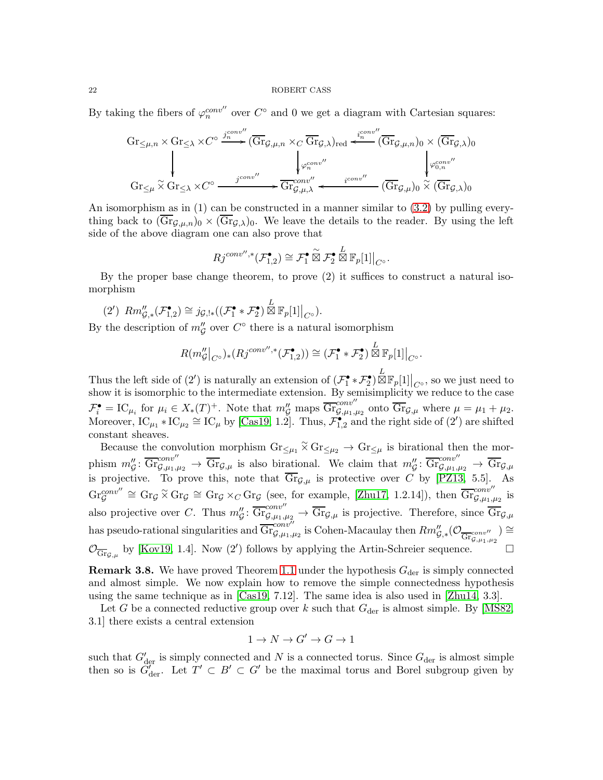By taking the fibers of  $\varphi_n^{conv''}$  over  $C^{\circ}$  and 0 we get a diagram with Cartesian squares:

$$
Gr_{\leq \mu,n} \times Gr_{\leq \lambda} \times C^{\circ} \xrightarrow{j_{n}^{conv''}} (\overline{Gr}_{g,\mu,n} \times_{C} \overline{Gr}_{g,\lambda})_{red} \xleftarrow{i_{n}^{conv''}} (\overline{Gr}_{g,\mu,n})_{0} \times (\overline{Gr}_{g,\lambda})_{0}
$$
\n
$$
Gr_{\leq \mu} \times Gr_{\leq \lambda} \times C^{\circ} \xrightarrow{j_{conv''}} \overline{Gr}_{g,\mu,\lambda}^{conv''} \xleftarrow{i_{conv''}} (\overline{Gr}_{g,\mu})_{0} \times (\overline{Gr}_{g,\lambda})_{0}
$$

An isomorphism as in (1) can be constructed in a manner similar to [\(3.2\)](#page-17-0) by pulling everything back to  $(\overline{\mathrm{Gr}}_{\mathcal{G},\mu,n})_0 \times (\overline{\mathrm{Gr}}_{\mathcal{G},\lambda})_0$ . We leave the details to the reader. By using the left side of the above diagram one can also prove that

$$
Rj^{conv'',*}(\mathcal{F}_{1,2}^{\bullet}) \cong \mathcal{F}_{1}^{\bullet} \overset{\sim}{\boxtimes} \mathcal{F}_{2}^{\bullet} \overset{L}{\boxtimes} \mathbb{F}_{p}[1]\big|_{C^{\circ}}
$$

.

By the proper base change theorem, to prove (2) it suffices to construct a natural isomorphism

$$
(2') \ \operatorname{Rm}_{\mathcal{G},*}''(\mathcal{F}_{1,2}^{\bullet}) \cong j_{\mathcal{G},!*}((\mathcal{F}_1^{\bullet} \ast \mathcal{F}_2^{\bullet}) \overset{L}{\boxtimes} \mathbb{F}_p[1]|_{C^{\circ}}).
$$

By the description of  $m''_{\mathcal{G}}$  over  $C^{\circ}$  there is a natural isomorphism

$$
R(m''_{\mathcal{G}}|_{C^{\circ}})_{*}(Rj^{conv'',*}(\mathcal{F}_{1,2}^{\bullet})) \cong (\mathcal{F}_{1}^{\bullet} * \mathcal{F}_{2}^{\bullet}) \stackrel{L}{\boxtimes} \mathbb{F}_{p}[1]|_{C^{\circ}}.
$$

Thus the left side of (2') is naturally an extension of  $(\mathcal{F}_1^{\bullet} * \mathcal{F}_2^{\bullet}) \boxtimes \mathbb{F}_p[1]|_{C^{\circ}}$ , so we just need to show it is isomorphic to the intermediate extension. By semisimplicity we reduce to the case  $\mathcal{F}_{i}^{\bullet} = \text{IC}_{\mu_{i}}$  for  $\mu_{i} \in X_{*}(T)^{+}$ . Note that  $m''_{\mathcal{G}}$  maps  $\overline{\text{Gr}}_{\mathcal{G},\mu_{1},\mu_{2}}^{\text{conv}'}$  onto  $\overline{\text{Gr}}_{\mathcal{G},\mu}$  where  $\mu = \mu_{1} + \mu_{2}$ . Moreover,  $IC_{\mu_1} * IC_{\mu_2} \cong IC_{\mu}$  by [\[Cas19,](#page-26-2) 1.2]. Thus,  $\mathcal{F}_{1,2}^{\bullet}$  and the right side of (2') are shifted constant sheaves.

Because the convolution morphism  $\text{Gr}_{\leq \mu_1} \tilde{\times} \text{Gr}_{\leq \mu_2} \to \text{Gr}_{\leq \mu}$  is birational then the morphism  $m''_g: \overline{\text{Gr}}_{\mathcal{G},\mu_1,\mu_2}^{\text{conv''}} \to \overline{\text{Gr}}_{\mathcal{G},\mu}$  is also birational. We claim that  $m''_g: \overline{\text{Gr}}_{\mathcal{G},\mu_1,\mu_2}^{\text{conv''}} \to \overline{\text{Gr}}_{\mathcal{G},\mu_1,\mu_2}$ is projective. To prove this, note that  $Gr_{\mathcal{G},\mu}$  is protective over C by [\[PZ13,](#page-27-6) 5.5]. As  $\text{Gr}_{\mathcal{G}}^{conv''} \cong \text{Gr}_{\mathcal{G}} \times \text{Gr}_{\mathcal{G}} \cong \text{Gr}_{\mathcal{G}} \times_C \text{Gr}_{\mathcal{G}}$  (see, for example, [\[Zhu17,](#page-27-4) 1.2.14]), then  $\overline{\text{Gr}}_{\mathcal{G},\mu_1,\mu_2}^{conv''}$  is also projective over C. Thus  $m''_G: \overline{\mathrm{Gr}}_{\mathcal{G},\mu_1,\mu_2}^{\text{conv}''}\to \overline{\mathrm{Gr}}_{\mathcal{G},\mu}$  is projective. Therefore, since  $\overline{\mathrm{Gr}}_{\mathcal{G},\mu}$ has pseudo-rational singularities and  $\overline{\text{Gr}}_{\mathcal{G},\mu_1,\mu_2}^{conv''}$  is Cohen-Macaulay then  $Rm''_{\mathcal{G},*}(\mathcal{O}_{\overline{\text{Gr}}_{\mathcal{G},\mu_1,\mu_2}}) \cong$  $\mathcal{O}_{\overline{\text{Gr}}_{\mathcal{G},\mu}}$  by [\[Kov19,](#page-26-6) 1.4]. Now (2') follows by applying the Artin-Schreier sequence.

<span id="page-21-0"></span>**Remark 3.8.** We have proved Theorem [1.1](#page-2-0) under the hypothesis  $G_{\text{der}}$  is simply connected and almost simple. We now explain how to remove the simple connectedness hypothesis using the same technique as in [\[Cas19,](#page-26-2) 7.12]. The same idea is also used in [\[Zhu14,](#page-27-2) 3.3].

Let G be a connected reductive group over k such that  $G_{\text{der}}$  is almost simple. By [\[MS82,](#page-26-24) 3.1] there exists a central extension

$$
1 \to N \to G' \to G \to 1
$$

such that  $G'_{\text{der}}$  is simply connected and N is a connected torus. Since  $G_{\text{der}}$  is almost simple then so is  $\tilde{G}'_{\text{der}}$ . Let  $T' \subset B' \subset G'$  be the maximal torus and Borel subgroup given by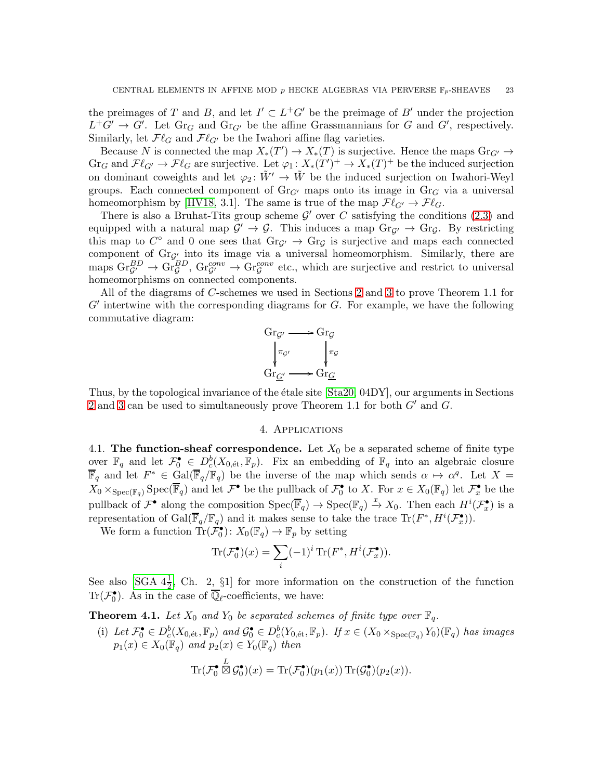the preimages of T and B, and let  $I' \subset L^+G'$  be the preimage of B' under the projection  $L^+G' \to G'$ . Let  $\text{Gr}_G$  and  $\text{Gr}_{G'}$  be the affine Grassmannians for G and G', respectively. Similarly, let  $\mathcal{F}\ell_G$  and  $\mathcal{F}\ell_{G'}$  be the Iwahori affine flag varieties.

Because N is connected the map  $X_*(T') \to X_*(T)$  is surjective. Hence the maps  $\text{Gr}_{G'} \to$  $\text{Gr}_G$  and  $\mathcal{F}\ell_{G'} \to \mathcal{F}\ell_G$  are surjective. Let  $\varphi_1 \colon X_*(T')^+ \to X_*(T)^+$  be the induced surjection on dominant coweights and let  $\varphi_2: \tilde{W}' \to \tilde{W}$  be the induced surjection on Iwahori-Weyl groups. Each connected component of  $\text{Gr}_{G'}$  maps onto its image in  $\text{Gr}_G$  via a universal homeomorphism by [\[HV18,](#page-26-25) 3.1]. The same is true of the map  $\mathcal{F}\ell_{G'} \to \mathcal{F}\ell_G$ .

There is also a Bruhat-Tits group scheme  $\mathcal{G}'$  over C satisfying the conditions [\(2.3\)](#page-6-3) and equipped with a natural map  $\mathcal{G}' \to \mathcal{G}$ . This induces a map  $\text{Gr}_{\mathcal{G}'} \to \text{Gr}_{\mathcal{G}}$ . By restricting this map to  $C^{\circ}$  and 0 one sees that  $\text{Gr}_{\mathcal{G}'} \to \text{Gr}_{\mathcal{G}}$  is surjective and maps each connected component of  $Gr_{\mathcal{G}}$  into its image via a universal homeomorphism. Similarly, there are maps  $\text{Gr}_{\mathcal{G}'}^{BD} \to \text{Gr}_{\mathcal{G}}^{CD}$ ,  $\text{Gr}_{\mathcal{G}'}^{conv} \to \text{Gr}_{\mathcal{G}}^{conv}$  etc., which are surjective and restrict to universal homeomorphisms on connected components.

All of the diagrams of C-schemes we used in Sections [2](#page-4-0) and [3](#page-12-0) to prove Theorem 1.1 for  $G'$  intertwine with the corresponding diagrams for  $G$ . For example, we have the following commutative diagram:



<span id="page-22-0"></span>Thus, by the topological invariance of the étale site [\[Sta20,](#page-27-7) 04DY], our arguments in Sections [2](#page-4-0) and [3](#page-12-0) can be used to simultaneously prove Theorem 1.1 for both  $G'$  and  $G$ .

## 4. Applications

<span id="page-22-1"></span>4.1. The function-sheaf correspondence. Let  $X_0$  be a separated scheme of finite type over  $\mathbb{F}_q$  and let  $\mathcal{F}_0^{\bullet} \in D_c^b(X_{0,\text{\'et}}, \mathbb{F}_p)$ . Fix an embedding of  $\mathbb{F}_q$  into an algebraic closure  $\overline{\mathbb{F}}_q$  and let  $F^* \in \text{Gal}(\overline{\mathbb{F}}_q/\mathbb{F}_q)$  be the inverse of the map which sends  $\alpha \mapsto \alpha^q$ . Let  $X =$  $X_0 \times_{\text{Spec}(\mathbb{F}_q)} \text{Spec}(\overline{\mathbb{F}}_q)$  and let  $\mathcal{F}^{\bullet}$  be the pullback of  $\mathcal{F}^{\bullet}_0$  to X. For  $x \in X_0(\mathbb{F}_q)$  let  $\mathcal{F}^{\bullet}_x$  be the pullback of  $\mathcal{F}^{\bullet}$  along the composition  $Spec(\overline{\mathbb{F}}_q) \to Spec(\mathbb{F}_q) \xrightarrow{x} X_0$ . Then each  $H^i(\mathcal{F}^{\bullet}_{x})$  is a representation of  $Gal(\overline{\mathbb{F}}_q/\mathbb{F}_q)$  and it makes sense to take the trace  $Tr(F^*, H^i(\mathcal{F}^{\bullet}_{x}))$ .

We form a function  $\operatorname{Tr}(\hat{\mathcal{F}}_0^{\bullet})\colon X_0(\mathbb{F}_q) \to \mathbb{F}_p$  by setting

$$
\operatorname{Tr}(\mathcal{F}_0^{\bullet})(x) = \sum_i (-1)^i \operatorname{Tr}(F^*, H^i(\mathcal{F}_x^{\bullet})).
$$

See also [SGA  $4\frac{1}{2}$ , Ch. 2, §1] for more information on the construction of the function Tr( $\mathcal{F}_0^{\bullet}$ ). As in the case of  $\overline{\mathbb{Q}}_{\ell}$ -coefficients, we have:

<span id="page-22-2"></span>**Theorem 4.1.** Let  $X_0$  and  $Y_0$  be separated schemes of finite type over  $\mathbb{F}_q$ .

(i) Let  $\mathcal{F}_0^{\bullet} \in D_c^b(X_{0, \text{\'et}}, \mathbb{F}_p)$  and  $\mathcal{G}_0^{\bullet} \in D_c^b(Y_{0, \text{\'et}}, \mathbb{F}_p)$ . If  $x \in (X_0 \times_{\text{Spec}(\mathbb{F}_q)} Y_0)(\mathbb{F}_q)$  has images  $p_1(x) \in X_0(\mathbb{F}_q)$  and  $p_2(x) \in Y_0(\mathbb{F}_q)$  then

$$
\text{Tr}(\mathcal{F}_0^{\bullet} \boxtimes \mathcal{G}_0^{\bullet})(x) = \text{Tr}(\mathcal{F}_0^{\bullet})(p_1(x)) \text{Tr}(\mathcal{G}_0^{\bullet})(p_2(x)).
$$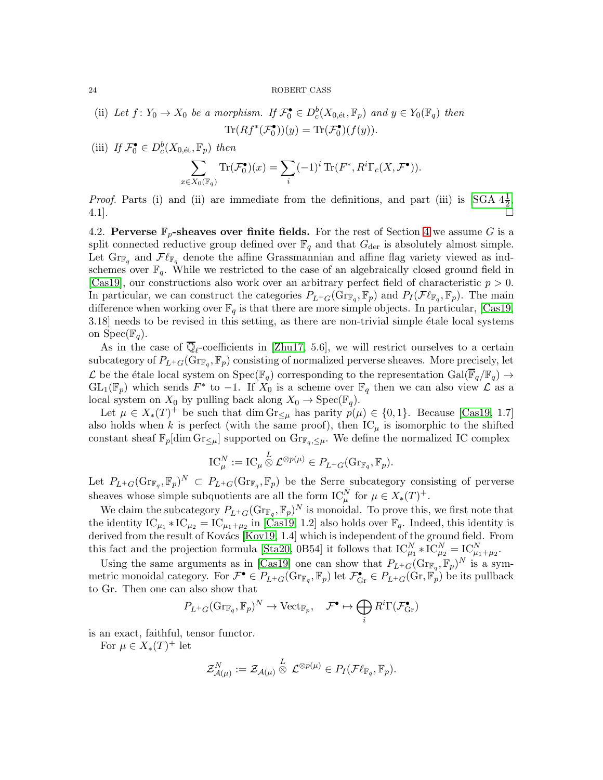(ii) Let 
$$
f: Y_0 \to X_0
$$
 be a morphism. If  $\mathcal{F}_0^{\bullet} \in D_c^b(X_{0, \text{\'et}}, \mathbb{F}_p)$  and  $y \in Y_0(\mathbb{F}_q)$  then  
\n
$$
\text{Tr}(Rf^*(\mathcal{F}_0^{\bullet}))(y) = \text{Tr}(\mathcal{F}_0^{\bullet})(f(y)).
$$

(iii) If  $\mathcal{F}_0^{\bullet} \in D_c^b(X_{0, \text{\'et}}, \mathbb{F}_p)$  then

$$
\sum_{x \in X_0(\mathbb{F}_q)} \text{Tr}(\mathcal{F}_0^{\bullet})(x) = \sum_i (-1)^i \text{Tr}(F^*, R^i \Gamma_c(X, \mathcal{F}^{\bullet})).
$$

*Proof.* Parts (i) and (ii) are immediate from the definitions, and part (iii) is [SGA  $4\frac{1}{2}$ ,  $4.1$ ].

<span id="page-23-0"></span>4.2. Perverse  $\mathbb{F}_p$ -sheaves over finite fields. For the rest of Section [4](#page-22-0) we assume G is a split connected reductive group defined over  $\mathbb{F}_q$  and that  $G_{\text{der}}$  is absolutely almost simple. Let  $\text{Gr}_{\mathbb{F}_q}$  and  $\mathcal{F}\ell_{\mathbb{F}_q}$  denote the affine Grassmannian and affine flag variety viewed as indschemes over  $\mathbb{F}_q$ . While we restricted to the case of an algebraically closed ground field in [\[Cas19\]](#page-26-2), our constructions also work over an arbitrary perfect field of characteristic  $p > 0$ . In particular, we can construct the categories  $P_{L^+G}(\text{Gr}_{\mathbb{F}_q}, \mathbb{F}_p)$  and  $P_I(\mathcal{F}\ell_{\mathbb{F}_q}, \mathbb{F}_p)$ . The main difference when working over  $\mathbb{F}_q$  is that there are more simple objects. In particular, [\[Cas19,](#page-26-2)  $3.18$ ] needs to be revised in this setting, as there are non-trivial simple étale local systems on  $Spec(\mathbb{F}_q)$ .

As in the case of  $\mathbb{Q}_\ell$ -coefficients in [\[Zhu17,](#page-27-4) 5.6], we will restrict ourselves to a certain subcategory of  $P_{L^+G}(\text{Gr}_{\mathbb{F}_q}, \mathbb{F}_p)$  consisting of normalized perverse sheaves. More precisely, let  $\mathcal L$  be the étale local system on  $\text{Spec}(\mathbb{F}_q)$  corresponding to the representation  $\text{Gal}(\overline{\mathbb{F}}_q/\mathbb{F}_q) \to$  $GL_1(\mathbb{F}_p)$  which sends  $F^*$  to  $-1$ . If  $X_0$  is a scheme over  $\mathbb{F}_q$  then we can also view  $\mathcal L$  as a local system on  $X_0$  by pulling back along  $X_0 \to \text{Spec}(\mathbb{F}_q)$ .

Let  $\mu \in X_*(T)^+$  be such that dim  $\text{Gr}_{\leq \mu}$  has parity  $p(\mu) \in \{0,1\}$ . Because [\[Cas19,](#page-26-2) 1.7] also holds when k is perfect (with the same proof), then  $IC_{\mu}$  is isomorphic to the shifted constant sheaf  $\mathbb{F}_p[\dim \mathrm{Gr}_{\leq \mu}]$  supported on  $\mathrm{Gr}_{\mathbb{F}_q,\leq \mu}$ . We define the normalized IC complex

$$
IC_{\mu}^N := IC_{\mu} \overset{L}{\otimes} \mathcal{L}^{\otimes p(\mu)} \in P_{L^+G}(\text{Gr}_{\mathbb{F}_q}, \mathbb{F}_p).
$$

Let  $P_{L^+G}(\text{Gr}_{\mathbb{F}_q}, \mathbb{F}_p)^N \subset P_{L^+G}(\text{Gr}_{\mathbb{F}_q}, \mathbb{F}_p)$  be the Serre subcategory consisting of perverse sheaves whose simple subquotients are all the form  $IC_{\mu}^N$  for  $\mu \in X_*(T)^+$ .

We claim the subcategory  $P_{L^+G}(\text{Gr}_{\mathbb{F}_q}, \mathbb{F}_p)^N$  is monoidal. To prove this, we first note that the identity  $IC_{\mu_1} * IC_{\mu_2} = IC_{\mu_1 + \mu_2}$  in [\[Cas19,](#page-26-2) 1.2] also holds over  $\mathbb{F}_q$ . Indeed, this identity is derived from the result of Kovács [\[Kov19,](#page-26-6) 1.4] which is independent of the ground field. From this fact and the projection formula [\[Sta20,](#page-27-7) 0B54] it follows that  $IC_{\mu_1}^N * IC_{\mu_2}^N = IC_{\mu_1+\mu_2}^N$ .

Using the same arguments as in [\[Cas19\]](#page-26-2) one can show that  $P_{L^+G}(\text{Gr}_{\mathbb{F}_q}, \mathbb{F}_p)^N$  is a symmetric monoidal category. For  $\mathcal{F}^{\bullet} \in P_{L^+G}(\text{Gr}_{\mathbb{F}_q}, \mathbb{F}_p)$  let  $\mathcal{F}^{\bullet}_{\text{Gr}} \in P_{L^+G}(\text{Gr}, \mathbb{F}_p)$  be its pullback to Gr. Then one can also show that

$$
P_{L^+G}(\text{Gr}_{\mathbb{F}_q}, \mathbb{F}_p)^N \to \text{Vect}_{\mathbb{F}_p}, \quad \mathcal{F}^{\bullet} \mapsto \bigoplus_i R^i \Gamma(\mathcal{F}_{\text{Gr}}^{\bullet})
$$

is an exact, faithful, tensor functor.

For  $\mu \in X_*(T)^+$  let

$$
\mathcal{Z}^N_{\mathcal{A}(\mu)}:=\mathcal{Z}_{\mathcal{A}(\mu)}\overset{L}{\otimes} \mathcal{L}^{\otimes p(\mu)}\in P_I(\mathcal{F}\ell_{\mathbb{F}_q},\mathbb{F}_p).
$$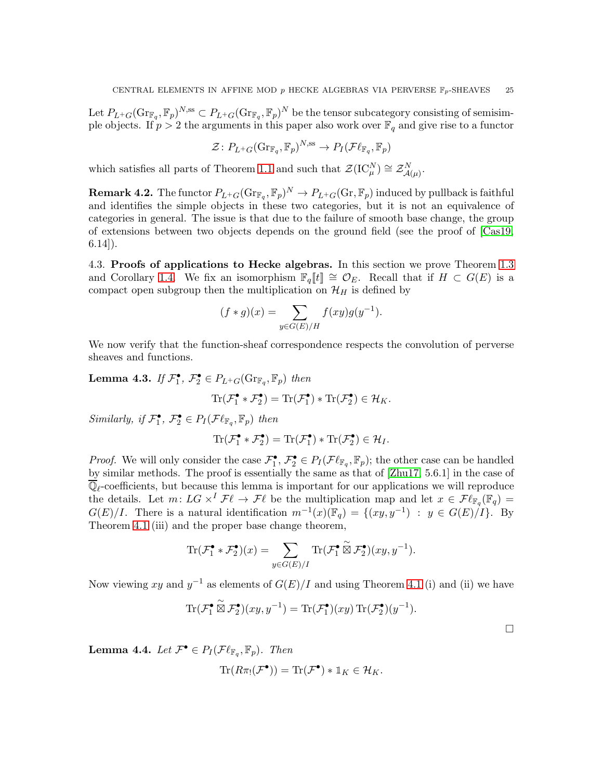Let  $P_{L^+G}(\text{Gr}_{\mathbb{F}_q}, \mathbb{F}_p)^{N, \text{ss}} \subset P_{L^+G}(\text{Gr}_{\mathbb{F}_q}, \mathbb{F}_p)^N$  be the tensor subcategory consisting of semisimple objects. If  $p > 2$  the arguments in this paper also work over  $\mathbb{F}_q$  and give rise to a functor

$$
\mathcal{Z} \colon P_{L^+G}(\text{Gr}_{\mathbb{F}_q}, \mathbb{F}_p)^{N, \text{ss}} \to P_I(\mathcal{F}\ell_{\mathbb{F}_q}, \mathbb{F}_p)
$$

which satisfies all parts of Theorem [1.1](#page-2-0) and such that  $\mathcal{Z}(\text{IC}_{\mu}^N) \cong \mathcal{Z}_{\mathcal{A}(\mu)}^N$ .

**Remark 4.2.** The functor  $P_{L^+G}(\text{Gr}_{\mathbb{F}_q}, \mathbb{F}_p)^N \to P_{L^+G}(\text{Gr}, \mathbb{F}_p)$  induced by pullback is faithful and identifies the simple objects in these two categories, but it is not an equivalence of categories in general. The issue is that due to the failure of smooth base change, the group of extensions between two objects depends on the ground field (see the proof of [\[Cas19,](#page-26-2)  $(6.14)$ .

<span id="page-24-0"></span>4.3. Proofs of applications to Hecke algebras. In this section we prove Theorem [1.3](#page-3-2) and Corollary [1.4.](#page-3-3) We fix an isomorphism  $\mathbb{F}_q[[t]] \cong \mathcal{O}_E$ . Recall that if  $H \subset G(E)$  is a compact open subgroup then the multiplication on  $\mathcal{H}_H$  is defined by

$$
(f * g)(x) = \sum_{y \in G(E)/H} f(xy)g(y^{-1}).
$$

We now verify that the function-sheaf correspondence respects the convolution of perverse sheaves and functions.

<span id="page-24-1"></span>**Lemma 4.3.** If  $\mathcal{F}_1^{\bullet}$ ,  $\mathcal{F}_2^{\bullet} \in P_{L^+G}(\text{Gr}_{\mathbb{F}_q}, \mathbb{F}_p)$  then

$$
\operatorname{Tr}(\mathcal{F}_1^{\bullet} * \mathcal{F}_2^{\bullet}) = \operatorname{Tr}(\mathcal{F}_1^{\bullet}) * \operatorname{Tr}(\mathcal{F}_2^{\bullet}) \in \mathcal{H}_K.
$$

Similarly, if  $\mathcal{F}_1^{\bullet}$ ,  $\mathcal{F}_2^{\bullet} \in P_I(\mathcal{F}\ell_{\mathbb{F}_q}, \mathbb{F}_p)$  then

$$
\mathrm{Tr}(\mathcal{F}_1^{\bullet} * \mathcal{F}_2^{\bullet}) = \mathrm{Tr}(\mathcal{F}_1^{\bullet}) * \mathrm{Tr}(\mathcal{F}_2^{\bullet}) \in \mathcal{H}_I.
$$

*Proof.* We will only consider the case  $\mathcal{F}_1^{\bullet}, \mathcal{F}_2^{\bullet} \in P_I(\mathcal{F}\ell_{\mathbb{F}_q}, \mathbb{F}_p)$ ; the other case can be handled by similar methods. The proof is essentially the same as that of [\[Zhu17,](#page-27-4) 5.6.1] in the case of  $\mathbb{Q}_\ell$ -coefficients, but because this lemma is important for our applications we will reproduce the details. Let  $m: LG \times^{I} \mathcal{F}\ell \to \mathcal{F}\ell$  be the multiplication map and let  $x \in \mathcal{F}\ell_{\mathbb{F}_{q}}(\mathbb{F}_{q}) =$  $G(E)/I$ . There is a natural identification  $m^{-1}(x)(\mathbb{F}_q) = \{(xy, y^{-1}) : y \in G(E)/I\}$ . By Theorem [4.1](#page-22-2) (iii) and the proper base change theorem,

$$
\operatorname{Tr}(\mathcal{F}_1^{\bullet} * \mathcal{F}_2^{\bullet})(x) = \sum_{y \in G(E)/I} \operatorname{Tr}(\mathcal{F}_1^{\bullet} \overset{\sim}{\boxtimes} \mathcal{F}_2^{\bullet})(xy, y^{-1}).
$$

Now viewing xy and  $y^{-1}$  as elements of  $G(E)/I$  and using Theorem [4.1](#page-22-2) (i) and (ii) we have

$$
\operatorname{Tr}(\mathcal{F}_1^{\bullet} \overset{\sim}{\boxtimes} \mathcal{F}_2^{\bullet})(xy, y^{-1}) = \operatorname{Tr}(\mathcal{F}_1^{\bullet})(xy) \operatorname{Tr}(\mathcal{F}_2^{\bullet})(y^{-1}).
$$

 $\Box$ 

<span id="page-24-2"></span>**Lemma 4.4.** Let  $\mathcal{F}^{\bullet} \in P_I(\mathcal{F}\ell_{\mathbb{F}_q}, \mathbb{F}_p)$ . Then

$$
\mathrm{Tr}(R\pi_!(\mathcal{F}^{\bullet})) = \mathrm{Tr}(\mathcal{F}^{\bullet}) * \mathbb{1}_K \in \mathcal{H}_K.
$$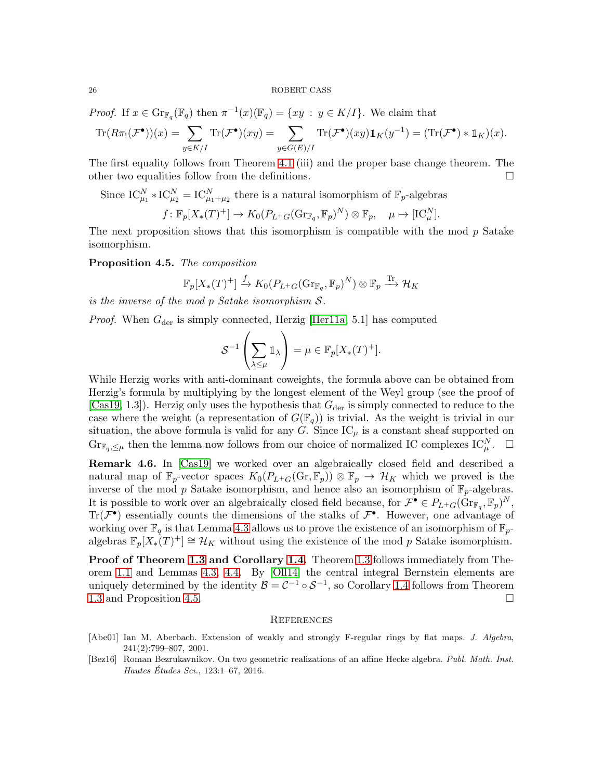*Proof.* If  $x \in \text{Gr}_{\mathbb{F}_q}(\mathbb{F}_q)$  then  $\pi^{-1}(x)(\mathbb{F}_q) = \{xy : y \in K/I\}$ . We claim that

$$
\mathrm{Tr}(R\pi_!(\mathcal{F}^{\bullet}))(x) = \sum_{y\in K/I} \mathrm{Tr}(\mathcal{F}^{\bullet})(xy) = \sum_{y\in G(E)/I} \mathrm{Tr}(\mathcal{F}^{\bullet})(xy) 1\!\!1_K(y^{-1}) = (\mathrm{Tr}(\mathcal{F}^{\bullet}) * 1\!\!1_K)(x).
$$

The first equality follows from Theorem [4.1](#page-22-2) (iii) and the proper base change theorem. The other two equalities follow from the definitions.

Since 
$$
IC_{\mu_1}^N * IC_{\mu_2}^N = IC_{\mu_1 + \mu_2}^N
$$
 there is a natural isomorphism of  $\mathbb{F}_p$ -algebras  

$$
f: \mathbb{F}_p[X_*(T)^+] \to K_0(P_{L^+G}(\text{Gr}_{\mathbb{F}_q}, \mathbb{F}_p)^N) \otimes \mathbb{F}_p, \quad \mu \mapsto [IC_{\mu}^N].
$$

The next proposition shows that this isomorphism is compatible with the mod  $p$  Satake isomorphism.

<span id="page-25-3"></span>Proposition 4.5. The composition

$$
\mathbb{F}_p[X_*(T)^+] \xrightarrow{f} K_0(P_{L^+G}(\text{Gr}_{\mathbb{F}_q}, \mathbb{F}_p)^N) \otimes \mathbb{F}_p \xrightarrow{\text{Tr}} \mathcal{H}_K
$$

is the inverse of the mod p Satake isomorphism S.

*Proof.* When  $G_{\text{der}}$  is simply connected, Herzig [\[Her11a,](#page-26-26) 5.1] has computed

$$
\mathcal{S}^{-1}\left(\sum_{\lambda\leq\mu}\mathbb{1}_{\lambda}\right)=\mu\in\mathbb{F}_p[X_*(T)^+].
$$

While Herzig works with anti-dominant coweights, the formula above can be obtained from Herzig's formula by multiplying by the longest element of the Weyl group (see the proof of [\[Cas19,](#page-26-2) 1.3]). Herzig only uses the hypothesis that  $G_{\text{der}}$  is simply connected to reduce to the case where the weight (a representation of  $G(\mathbb{F}_q)$ ) is trivial. As the weight is trivial in our situation, the above formula is valid for any G. Since  $\mathrm{IC}_{\mu}$  is a constant sheaf supported on  $\text{Gr}_{\mathbb{F}_q,\leq\mu}$  then the lemma now follows from our choice of normalized IC complexes  $\text{IC}_{\mu}^N$ .  $\Box$ 

Remark 4.6. In [\[Cas19\]](#page-26-2) we worked over an algebraically closed field and described a natural map of  $\mathbb{F}_p$ -vector spaces  $K_0(P_{L^+G}(\mathbb{G}_T, \mathbb{F}_p)) \otimes \mathbb{F}_p \to \mathcal{H}_K$  which we proved is the inverse of the mod  $p$  Satake isomorphism, and hence also an isomorphism of  $\mathbb{F}_p$ -algebras. It is possible to work over an algebraically closed field because, for  $\mathcal{F}^{\bullet} \in P_{L^+G}(\text{Gr}_{\mathbb{F}_q}, \mathbb{F}_p)^N$ ,  $\text{Tr}(\mathcal{F}^{\bullet})$  essentially counts the dimensions of the stalks of  $\mathcal{F}^{\bullet}$ . However, one advantage of working over  $\mathbb{F}_q$  is that Lemma [4.3](#page-24-1) allows us to prove the existence of an isomorphism of  $\mathbb{F}_p$ algebras  $\mathbb{F}_p[X_*(T)^+] \cong \mathcal{H}_K$  without using the existence of the mod p Satake isomorphism.

Proof of Theorem [1.3](#page-3-2) and Corollary [1.4.](#page-3-3) Theorem [1.3](#page-3-2) follows immediately from Theorem [1.1](#page-2-0) and Lemmas [4.3,](#page-24-1) [4.4.](#page-24-2) By [\[Oll14\]](#page-26-3) the central integral Bernstein elements are uniquely determined by the identity  $\mathcal{B} = \mathcal{C}^{-1} \circ \mathcal{S}^{-1}$ , so Corollary [1.4](#page-3-3) follows from Theorem [1.3](#page-3-2) and Proposition [4.5.](#page-25-3)

#### <span id="page-25-0"></span>**REFERENCES**

- <span id="page-25-2"></span>[Abe01] Ian M. Aberbach. Extension of weakly and strongly F-regular rings by flat maps. J. Algebra, 241(2):799–807, 2001.
- <span id="page-25-1"></span>[Bez16] Roman Bezrukavnikov. On two geometric realizations of an affine Hecke algebra. Publ. Math. Inst. Hautes Études Sci.,  $123:1-67$ ,  $2016$ .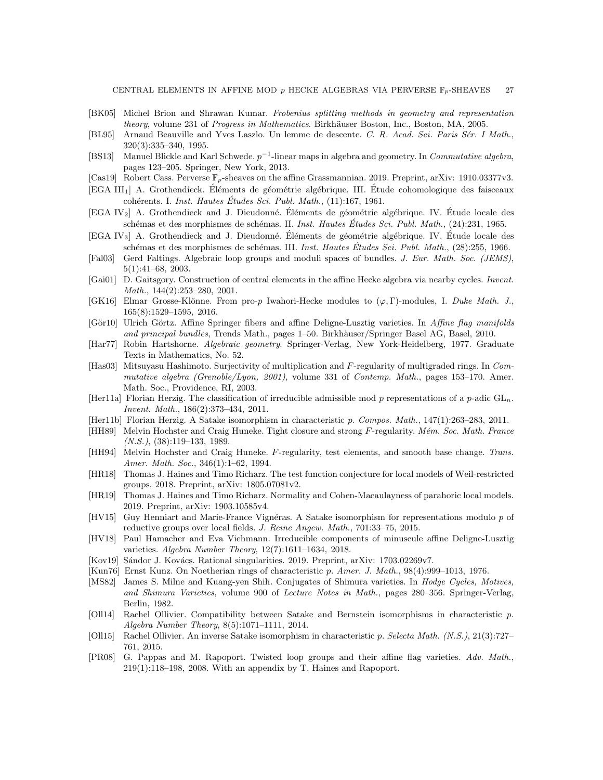- <span id="page-26-21"></span>[BK05] Michel Brion and Shrawan Kumar. Frobenius splitting methods in geometry and representation theory, volume 231 of Progress in Mathematics. Birkhäuser Boston, Inc., Boston, MA, 2005.
- <span id="page-26-13"></span>[BL95] Arnaud Beauville and Yves Laszlo. Un lemme de descente. C. R. Acad. Sci. Paris Sér. I Math., 320(3):335–340, 1995.
- <span id="page-26-23"></span>[BS13] Manuel Blickle and Karl Schwede.  $p^{-1}$ -linear maps in algebra and geometry. In *Commutative algebra*, pages 123–205. Springer, New York, 2013.
- <span id="page-26-2"></span>[Cas19] Robert Cass. Perverse  $\mathbb{F}_p$ -sheaves on the affine Grassmannian. 2019. Preprint, arXiv: 1910.03377v3.
- <span id="page-26-22"></span>[EGA III<sub>1</sub>] A. Grothendieck. Éléments de géométrie algébrique. III. Étude cohomologique des faisceaux cohérents. I. Inst. Hautes Études Sci. Publ. Math., (11):167, 1961.
- <span id="page-26-19"></span>[EGA IV<sub>2</sub>] A. Grothendieck and J. Dieudonné. Éléments de géométrie algébrique. IV. Étude locale des schémas et des morphismes de schémas. II. Inst. Hautes Études Sci. Publ. Math., (24):231, 1965.
- <span id="page-26-16"></span> $[EGA IV<sub>3</sub>]$  A. Grothendieck and J. Dieudonné. Éléments de géométrie algébrique. IV. Étude locale des schémas et des morphismes de schémas. III. Inst. Hautes Études Sci. Publ. Math., (28):255, 1966.
- <span id="page-26-9"></span>[Fal03] Gerd Faltings. Algebraic loop groups and moduli spaces of bundles. J. Eur. Math. Soc. (JEMS), 5(1):41–68, 2003.
- <span id="page-26-5"></span>[Gai01] D. Gaitsgory. Construction of central elements in the affine Hecke algebra via nearby cycles. Invent. Math., 144(2):253–280, 2001.
- <span id="page-26-4"></span>[GK16] Elmar Grosse-Klönne. From pro-p Iwahori-Hecke modules to  $(\varphi, \Gamma)$ -modules, I. Duke Math. J., 165(8):1529–1595, 2016.
- <span id="page-26-20"></span>[Gör10] Ulrich Görtz. Affine Springer fibers and affine Deligne-Lusztig varieties. In Affine flag manifolds and principal bundles, Trends Math., pages 1–50. Birkhäuser/Springer Basel AG, Basel, 2010.
- <span id="page-26-15"></span>[Har77] Robin Hartshorne. Algebraic geometry. Springer-Verlag, New York-Heidelberg, 1977. Graduate Texts in Mathematics, No. 52.
- <span id="page-26-17"></span>[Has03] Mitsuyasu Hashimoto. Surjectivity of multiplication and F-regularity of multigraded rings. In Commutative algebra (Grenoble/Lyon, 2001), volume 331 of Contemp. Math., pages 153–170. Amer. Math. Soc., Providence, RI, 2003.
- <span id="page-26-26"></span>[Her11a] Florian Herzig. The classification of irreducible admissible mod p representations of a p-adic  $GL_n$ . Invent. Math., 186(2):373–434, 2011.
- <span id="page-26-0"></span>[Her11b] Florian Herzig. A Satake isomorphism in characteristic p. Compos. Math., 147(1):263–283, 2011.
- <span id="page-26-12"></span>[HH89] Melvin Hochster and Craig Huneke. Tight closure and strong F-regularity. Mém. Soc. Math. France  $(N.S.), (38):119-133, 1989.$
- <span id="page-26-11"></span>[HH94] Melvin Hochster and Craig Huneke. F-regularity, test elements, and smooth base change. Trans. Amer. Math. Soc., 346(1):1-62, 1994.
- <span id="page-26-14"></span>[HR18] Thomas J. Haines and Timo Richarz. The test function conjecture for local models of Weil-restricted groups. 2018. Preprint, arXiv: 1805.07081v2.
- <span id="page-26-8"></span>[HR19] Thomas J. Haines and Timo Richarz. Normality and Cohen-Macaulayness of parahoric local models. 2019. Preprint, arXiv: 1903.10585v4.
- <span id="page-26-1"></span>[HV15] Guy Henniart and Marie-France Vignéras. A Satake isomorphism for representations modulo  $p$  of reductive groups over local fields. J. Reine Angew. Math., 701:33–75, 2015.
- <span id="page-26-25"></span>[HV18] Paul Hamacher and Eva Viehmann. Irreducible components of minuscule affine Deligne-Lusztig varieties. Algebra Number Theory, 12(7):1611–1634, 2018.
- <span id="page-26-6"></span>[Kov19] Sándor J. Kovács. Rational singularities. 2019. Preprint, arXiv: 1703.02269v7.
- <span id="page-26-18"></span>[Kun76] Ernst Kunz. On Noetherian rings of characteristic p. Amer. J. Math., 98(4):999–1013, 1976.
- <span id="page-26-24"></span>[MS82] James S. Milne and Kuang-yen Shih. Conjugates of Shimura varieties. In Hodge Cycles, Motives, and Shimura Varieties, volume 900 of Lecture Notes in Math., pages 280–356. Springer-Verlag, Berlin, 1982.
- <span id="page-26-3"></span>[Oll14] Rachel Ollivier. Compatibility between Satake and Bernstein isomorphisms in characteristic p. Algebra Number Theory, 8(5):1071–1111, 2014.
- <span id="page-26-7"></span>[Oll15] Rachel Ollivier. An inverse Satake isomorphism in characteristic p. Selecta Math. (N.S.), 21(3):727– 761, 2015.
- <span id="page-26-10"></span>[PR08] G. Pappas and M. Rapoport. Twisted loop groups and their affine flag varieties. Adv. Math., 219(1):118–198, 2008. With an appendix by T. Haines and Rapoport.